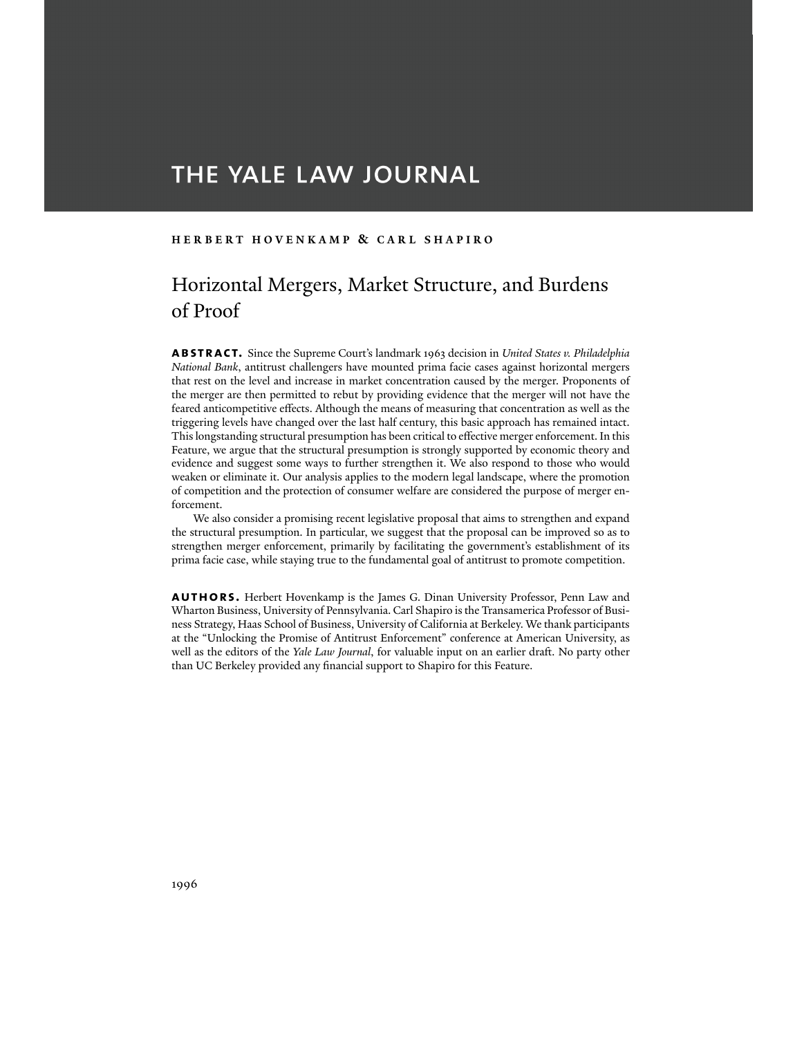# THE YALE LAW JOURNAL

#### **HERBERT HOVENKAMP & CARL SHAPIRO**

# Horizontal Mergers, Market Structure, and Burdens of Proof

**abstract.** Since the Supreme Court's landmark 1963 decision in *United States v. Philadelphia National Bank*, antitrust challengers have mounted prima facie cases against horizontal mergers that rest on the level and increase in market concentration caused by the merger. Proponents of the merger are then permitted to rebut by providing evidence that the merger will not have the feared anticompetitive effects. Although the means of measuring that concentration as well as the triggering levels have changed over the last half century, this basic approach has remained intact. This longstanding structural presumption has been critical to effective merger enforcement. In this Feature, we argue that the structural presumption is strongly supported by economic theory and evidence and suggest some ways to further strengthen it. We also respond to those who would weaken or eliminate it. Our analysis applies to the modern legal landscape, where the promotion of competition and the protection of consumer welfare are considered the purpose of merger enforcement.

 We also consider a promising recent legislative proposal that aims to strengthen and expand the structural presumption. In particular, we suggest that the proposal can be improved so as to strengthen merger enforcement, primarily by facilitating the government's establishment of its prima facie case, while staying true to the fundamental goal of antitrust to promote competition.

**authors.** Herbert Hovenkamp is the James G. Dinan University Professor, Penn Law and Wharton Business, University of Pennsylvania. Carl Shapiro is the Transamerica Professor of Business Strategy, Haas School of Business, University of California at Berkeley. We thank participants at the "Unlocking the Promise of Antitrust Enforcement" conference at American University, as well as the editors of the *Yale Law Journal*, for valuable input on an earlier draft. No party other than UC Berkeley provided any financial support to Shapiro for this Feature.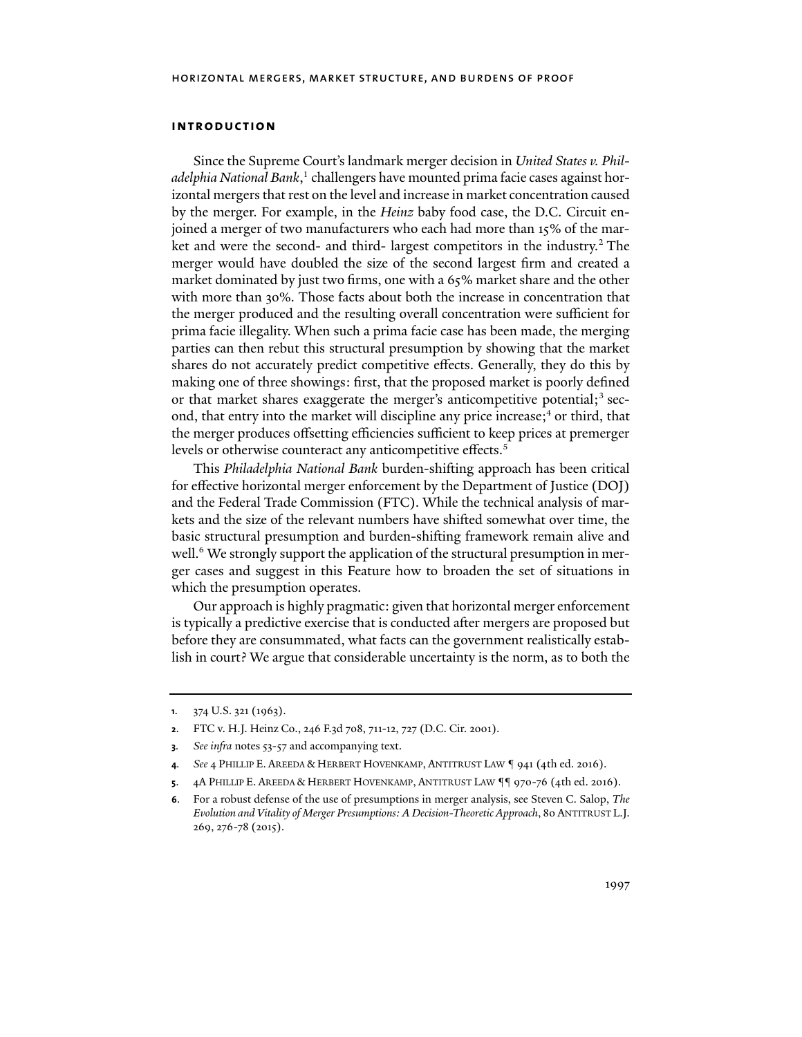#### **introduction**

Since the Supreme Court's landmark merger decision in *United States v. Philadelphia National Bank*, 1 challengers have mounted prima facie cases against horizontal mergers that rest on the level and increase in market concentration caused by the merger. For example, in the *Heinz* baby food case, the D.C. Circuit enjoined a merger of two manufacturers who each had more than 15% of the market and were the second- and third- largest competitors in the industry.<sup>2</sup> The merger would have doubled the size of the second largest firm and created a market dominated by just two firms, one with a 65% market share and the other with more than 30%. Those facts about both the increase in concentration that the merger produced and the resulting overall concentration were sufficient for prima facie illegality. When such a prima facie case has been made, the merging parties can then rebut this structural presumption by showing that the market shares do not accurately predict competitive effects. Generally, they do this by making one of three showings: first, that the proposed market is poorly defined or that market shares exaggerate the merger's anticompetitive potential; $^3$  second, that entry into the market will discipline any price increase;<sup>4</sup> or third, that the merger produces offsetting efficiencies sufficient to keep prices at premerger levels or otherwise counteract any anticompetitive effects.<sup>5</sup>

This *Philadelphia National Bank* burden-shifting approach has been critical for effective horizontal merger enforcement by the Department of Justice (DOJ) and the Federal Trade Commission (FTC). While the technical analysis of markets and the size of the relevant numbers have shifted somewhat over time, the basic structural presumption and burden-shifting framework remain alive and well.<sup>6</sup> We strongly support the application of the structural presumption in merger cases and suggest in this Feature how to broaden the set of situations in which the presumption operates.

Our approach is highly pragmatic: given that horizontal merger enforcement is typically a predictive exercise that is conducted after mergers are proposed but before they are consummated, what facts can the government realistically establish in court? We argue that considerable uncertainty is the norm, as to both the

**<sup>1</sup>**. 374 U.S. 321 (1963).

**<sup>2</sup>**. FTC v. H.J. Heinz Co., 246 F.3d 708, 711-12, 727 (D.C. Cir. 2001).

**<sup>3</sup>***. See infra* notes 53-57 and accompanying text.

**<sup>4</sup>***. See* 4 PHILLIP E. AREEDA & HERBERT HOVENKAMP, ANTITRUST LAW ¶ 941 (4th ed. 2016).

**<sup>5</sup>**. 4A PHILLIP E. AREEDA & HERBERT HOVENKAMP, ANTITRUST LAW ¶¶ 970-76 (4th ed. 2016).

**<sup>6</sup>**. For a robust defense of the use of presumptions in merger analysis, see Steven C. Salop, *The Evolution and Vitality of Merger Presumptions: A Decision-Theoretic Approach*, 80 ANTITRUST L.J. 269, 276-78 (2015).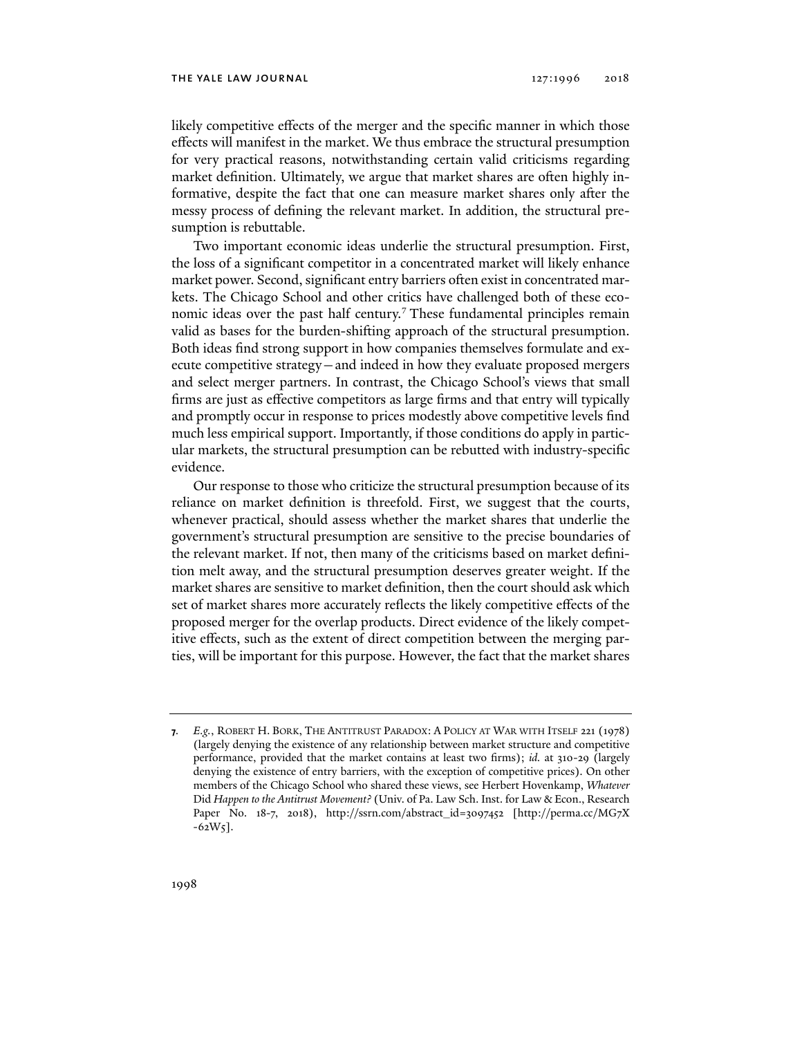likely competitive effects of the merger and the specific manner in which those effects will manifest in the market. We thus embrace the structural presumption for very practical reasons, notwithstanding certain valid criticisms regarding market definition. Ultimately, we argue that market shares are often highly informative, despite the fact that one can measure market shares only after the messy process of defining the relevant market. In addition, the structural presumption is rebuttable.

Two important economic ideas underlie the structural presumption. First, the loss of a significant competitor in a concentrated market will likely enhance market power. Second, significant entry barriers often exist in concentrated markets. The Chicago School and other critics have challenged both of these economic ideas over the past half century.<sup>7</sup> These fundamental principles remain valid as bases for the burden-shifting approach of the structural presumption. Both ideas find strong support in how companies themselves formulate and execute competitive strategy—and indeed in how they evaluate proposed mergers and select merger partners. In contrast, the Chicago School's views that small firms are just as effective competitors as large firms and that entry will typically and promptly occur in response to prices modestly above competitive levels find much less empirical support. Importantly, if those conditions do apply in particular markets, the structural presumption can be rebutted with industry-specific evidence.

Our response to those who criticize the structural presumption because of its reliance on market definition is threefold. First, we suggest that the courts, whenever practical, should assess whether the market shares that underlie the government's structural presumption are sensitive to the precise boundaries of the relevant market. If not, then many of the criticisms based on market definition melt away, and the structural presumption deserves greater weight. If the market shares are sensitive to market definition, then the court should ask which set of market shares more accurately reflects the likely competitive effects of the proposed merger for the overlap products. Direct evidence of the likely competitive effects, such as the extent of direct competition between the merging parties, will be important for this purpose. However, the fact that the market shares

**<sup>7</sup>***. E.g.*, ROBERT H. BORK, THE ANTITRUST PARADOX: A POLICY AT WAR WITH ITSELF 221 (1978) (largely denying the existence of any relationship between market structure and competitive performance, provided that the market contains at least two firms); *id.* at 310-29 (largely denying the existence of entry barriers, with the exception of competitive prices). On other members of the Chicago School who shared these views, see Herbert Hovenkamp, *Whatever* Did *Happen to the Antitrust Movement?* (Univ. of Pa. Law Sch. Inst. for Law & Econ., Research Paper No. 18-7, 2018), http://ssrn.com/abstract\_id=3097452 [http://perma.cc/MG7X  $-62W_5$ ].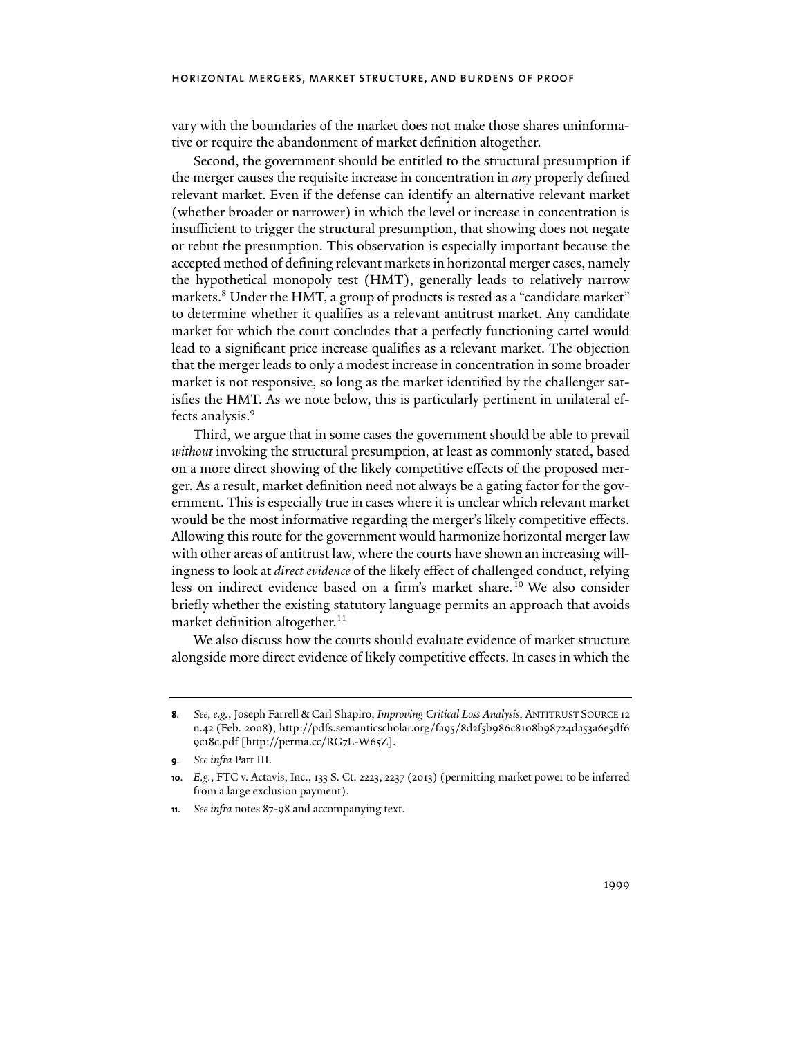vary with the boundaries of the market does not make those shares uninformative or require the abandonment of market definition altogether.

Second, the government should be entitled to the structural presumption if the merger causes the requisite increase in concentration in *any* properly defined relevant market. Even if the defense can identify an alternative relevant market (whether broader or narrower) in which the level or increase in concentration is insufficient to trigger the structural presumption, that showing does not negate or rebut the presumption. This observation is especially important because the accepted method of defining relevant markets in horizontal merger cases, namely the hypothetical monopoly test (HMT), generally leads to relatively narrow markets.8 Under the HMT, a group of products is tested as a "candidate market" to determine whether it qualifies as a relevant antitrust market. Any candidate market for which the court concludes that a perfectly functioning cartel would lead to a significant price increase qualifies as a relevant market. The objection that the merger leads to only a modest increase in concentration in some broader market is not responsive, so long as the market identified by the challenger satisfies the HMT. As we note below, this is particularly pertinent in unilateral effects analysis.<sup>9</sup>

Third, we argue that in some cases the government should be able to prevail *without* invoking the structural presumption, at least as commonly stated, based on a more direct showing of the likely competitive effects of the proposed merger. As a result, market definition need not always be a gating factor for the government. This is especially true in cases where it is unclear which relevant market would be the most informative regarding the merger's likely competitive effects. Allowing this route for the government would harmonize horizontal merger law with other areas of antitrust law, where the courts have shown an increasing willingness to look at *direct evidence* of the likely effect of challenged conduct, relying less on indirect evidence based on a firm's market share.<sup>10</sup> We also consider briefly whether the existing statutory language permits an approach that avoids market definition altogether.<sup>11</sup>

We also discuss how the courts should evaluate evidence of market structure alongside more direct evidence of likely competitive effects. In cases in which the

**<sup>8</sup>***. See, e.g.*, Joseph Farrell & Carl Shapiro, *Improving Critical Loss Analysis*, ANTITRUST SOURCE 12 n.42 (Feb. 2008), http://pdfs.semanticscholar.org/fa95/8d2f5b986c8108b98724da53a6e5df6 9c18c.pdf [http://perma.cc/RG7L-W65Z].

**<sup>9</sup>***. See infra* Part III.

**<sup>10</sup>***. E.g.*, FTC v. Actavis, Inc., 133 S. Ct. 2223, 2237 (2013) (permitting market power to be inferred from a large exclusion payment).

**<sup>11</sup>***. See infra* notes 87-98 and accompanying text.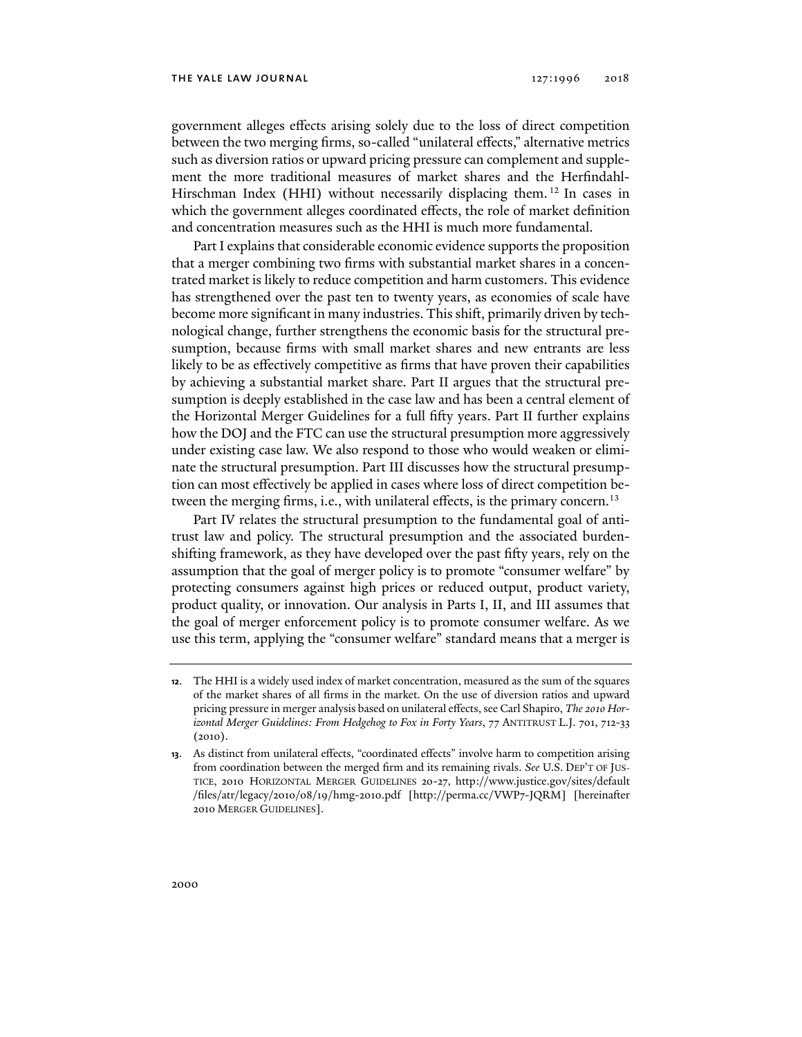government alleges effects arising solely due to the loss of direct competition between the two merging firms, so-called "unilateral effects," alternative metrics such as diversion ratios or upward pricing pressure can complement and supplement the more traditional measures of market shares and the Herfindahl-Hirschman Index (HHI) without necessarily displacing them.<sup>12</sup> In cases in which the government alleges coordinated effects, the role of market definition and concentration measures such as the HHI is much more fundamental.

Part I explains that considerable economic evidence supports the proposition that a merger combining two firms with substantial market shares in a concentrated market is likely to reduce competition and harm customers. This evidence has strengthened over the past ten to twenty years, as economies of scale have become more significant in many industries. This shift, primarily driven by technological change, further strengthens the economic basis for the structural presumption, because firms with small market shares and new entrants are less likely to be as effectively competitive as firms that have proven their capabilities by achieving a substantial market share. Part II argues that the structural presumption is deeply established in the case law and has been a central element of the Horizontal Merger Guidelines for a full fifty years. Part II further explains how the DOJ and the FTC can use the structural presumption more aggressively under existing case law. We also respond to those who would weaken or eliminate the structural presumption. Part III discusses how the structural presumption can most effectively be applied in cases where loss of direct competition between the merging firms, i.e., with unilateral effects, is the primary concern.<sup>13</sup>

Part IV relates the structural presumption to the fundamental goal of antitrust law and policy. The structural presumption and the associated burdenshifting framework, as they have developed over the past fifty years, rely on the assumption that the goal of merger policy is to promote "consumer welfare" by protecting consumers against high prices or reduced output, product variety, product quality, or innovation. Our analysis in Parts I, II, and III assumes that the goal of merger enforcement policy is to promote consumer welfare. As we use this term, applying the "consumer welfare" standard means that a merger is

**<sup>12</sup>**. The HHI is a widely used index of market concentration, measured as the sum of the squares of the market shares of all firms in the market. On the use of diversion ratios and upward pricing pressure in merger analysis based on unilateral effects, see Carl Shapiro, *The 2010 Horizontal Merger Guidelines: From Hedgehog to Fox in Forty Years*, 77 ANTITRUST L.J. 701, 712-33 (2010).

**<sup>13</sup>**. As distinct from unilateral effects, "coordinated effects" involve harm to competition arising from coordination between the merged firm and its remaining rivals. *See* U.S. DEP'T OF JUS-TICE, 2010 HORIZONTAL MERGER GUIDELINES 20-27, http://www.justice.gov/sites/default /files/atr/legacy/2010/08/19/hmg-2010.pdf [http://perma.cc/VWP7-JQRM] [hereinafter 2010 MERGER GUIDELINES].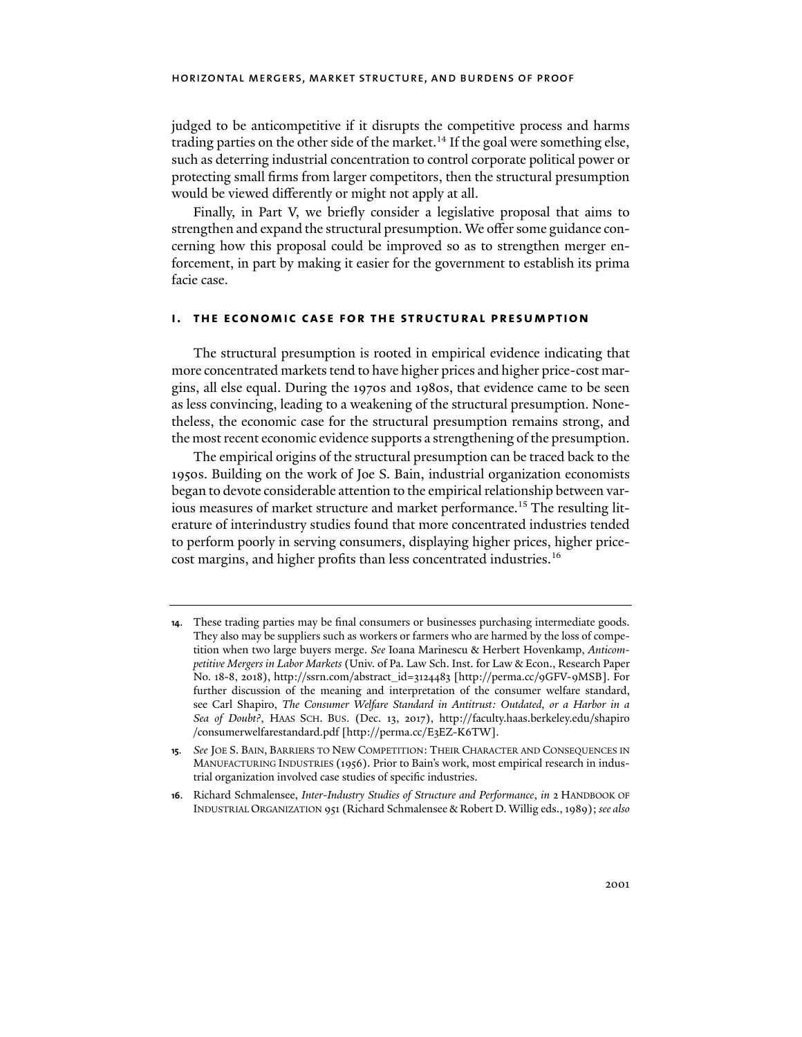judged to be anticompetitive if it disrupts the competitive process and harms trading parties on the other side of the market.<sup>14</sup> If the goal were something else, such as deterring industrial concentration to control corporate political power or protecting small firms from larger competitors, then the structural presumption would be viewed differently or might not apply at all.

Finally, in Part V, we briefly consider a legislative proposal that aims to strengthen and expand the structural presumption. We offer some guidance concerning how this proposal could be improved so as to strengthen merger enforcement, in part by making it easier for the government to establish its prima facie case.

#### **i. the economic case for the structural presumption**

The structural presumption is rooted in empirical evidence indicating that more concentrated markets tend to have higher prices and higher price-cost margins, all else equal. During the 1970s and 1980s, that evidence came to be seen as less convincing, leading to a weakening of the structural presumption. Nonetheless, the economic case for the structural presumption remains strong, and the most recent economic evidence supports a strengthening of the presumption.

The empirical origins of the structural presumption can be traced back to the 1950s. Building on the work of Joe S. Bain, industrial organization economists began to devote considerable attention to the empirical relationship between various measures of market structure and market performance.<sup>15</sup> The resulting literature of interindustry studies found that more concentrated industries tended to perform poorly in serving consumers, displaying higher prices, higher pricecost margins, and higher profits than less concentrated industries.16

**<sup>14</sup>**. These trading parties may be final consumers or businesses purchasing intermediate goods. They also may be suppliers such as workers or farmers who are harmed by the loss of competition when two large buyers merge. *See* Ioana Marinescu & Herbert Hovenkamp, *Anticompetitive Mergers in Labor Markets* (Univ. of Pa. Law Sch. Inst. for Law & Econ., Research Paper No. 18-8, 2018), http://ssrn.com/abstract\_id=3124483 [http://perma.cc/9GFV-9MSB]. For further discussion of the meaning and interpretation of the consumer welfare standard, see Carl Shapiro, *The Consumer Welfare Standard in Antitrust: Outdated, or a Harbor in a Sea of Doubt?*, HAAS SCH. BUS. (Dec. 13, 2017), http://faculty.haas.berkeley.edu/shapiro /consumerwelfarestandard.pdf [http://perma.cc/E3EZ-K6TW].

**<sup>15</sup>***. See* JOE S. BAIN, BARRIERS TO NEW COMPETITION: THEIR CHARACTER AND CONSEQUENCES IN MANUFACTURING INDUSTRIES (1956). Prior to Bain's work, most empirical research in industrial organization involved case studies of specific industries.

**<sup>16</sup>**. Richard Schmalensee, *Inter-Industry Studies of Structure and Performance*, *in* 2 HANDBOOK OF INDUSTRIAL ORGANIZATION 951 (Richard Schmalensee & Robert D. Willig eds., 1989); *see also*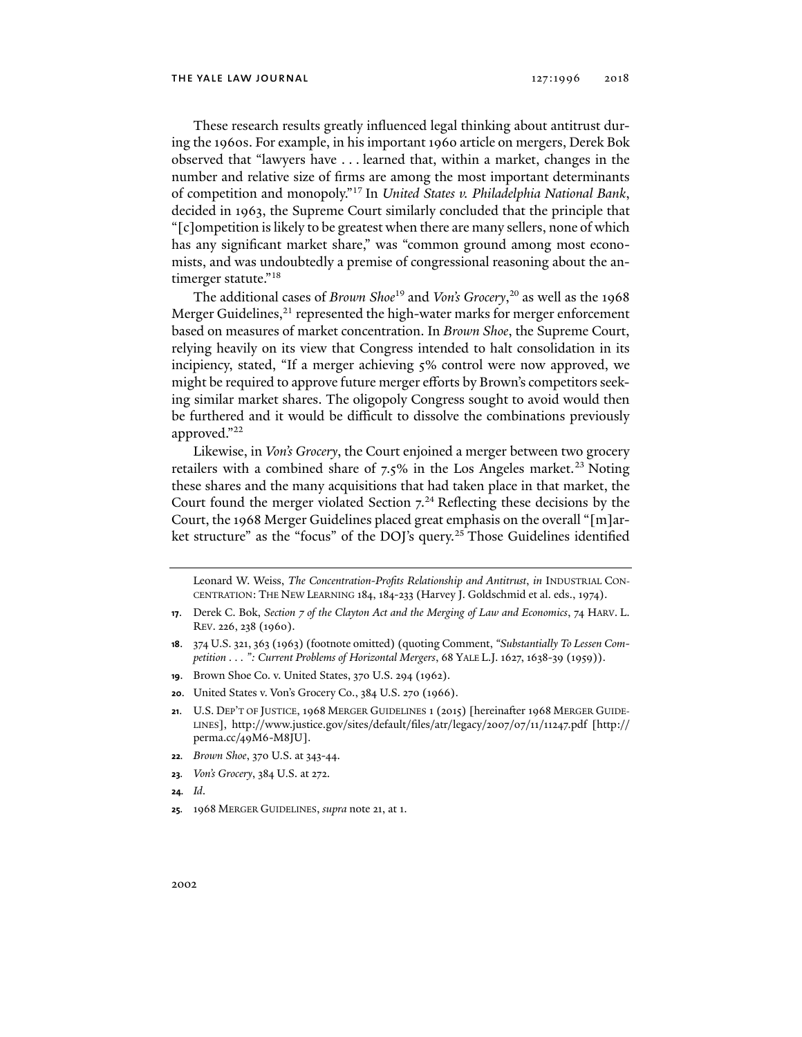These research results greatly influenced legal thinking about antitrust during the 1960s. For example, in his important 1960 article on mergers, Derek Bok observed that "lawyers have . . . learned that, within a market, changes in the number and relative size of firms are among the most important determinants of competition and monopoly."17 In *United States v. Philadelphia National Bank*, decided in 1963, the Supreme Court similarly concluded that the principle that "[c]ompetition is likely to be greatest when there are many sellers, none of which has any significant market share," was "common ground among most economists, and was undoubtedly a premise of congressional reasoning about the antimerger statute."<sup>18</sup>

The additional cases of *Brown Shoe*19 and *Von's Grocery*, 20 as well as the 1968 Merger Guidelines, $^{21}$  represented the high-water marks for merger enforcement based on measures of market concentration. In *Brown Shoe*, the Supreme Court, relying heavily on its view that Congress intended to halt consolidation in its incipiency, stated, "If a merger achieving 5% control were now approved, we might be required to approve future merger efforts by Brown's competitors seeking similar market shares. The oligopoly Congress sought to avoid would then be furthered and it would be difficult to dissolve the combinations previously approved."22

Likewise, in *Von's Grocery*, the Court enjoined a merger between two grocery retailers with a combined share of  $7.5\%$  in the Los Angeles market.<sup>23</sup> Noting these shares and the many acquisitions that had taken place in that market, the Court found the merger violated Section  $7<sup>24</sup>$  Reflecting these decisions by the Court, the 1968 Merger Guidelines placed great emphasis on the overall "[m]arket structure" as the "focus" of the DOJ's query.<sup>25</sup> Those Guidelines identified

- **19**. Brown Shoe Co. v. United States, 370 U.S. 294 (1962).
- **20**. United States v. Von's Grocery Co., 384 U.S. 270 (1966).
- **21**. U.S. DEP'T OF JUSTICE, 1968 MERGER GUIDELINES 1 (2015) [hereinafter 1968 MERGER GUIDE-LINES], http://www.justice.gov/sites/default/files/atr/legacy/2007/07/11/11247.pdf [http:// perma.cc/49M6-M8JU].
- **22***. Brown Shoe*, 370 U.S. at 343-44.
- **23***. Von's Grocery*, 384 U.S. at 272.
- **24***. Id*.
- **25***.* 1968 MERGER GUIDELINES, *supra* note 21, at 1.

Leonard W. Weiss, *The Concentration-Profits Relationship and Antitrust*, *in* INDUSTRIAL CON-CENTRATION: THE NEW LEARNING 184, 184-233 (Harvey J. Goldschmid et al. eds., 1974).

**<sup>17</sup>**. Derek C. Bok, *Section 7 of the Clayton Act and the Merging of Law and Economics*, 74 HARV. L. REV. 226, 238 (1960).

**<sup>18</sup>**. 374 U.S. 321, 363 (1963) (footnote omitted) (quoting Comment, *"Substantially To Lessen Competition . . . ": Current Problems of Horizontal Mergers*, 68 YALE L.J. 1627, 1638-39 (1959)).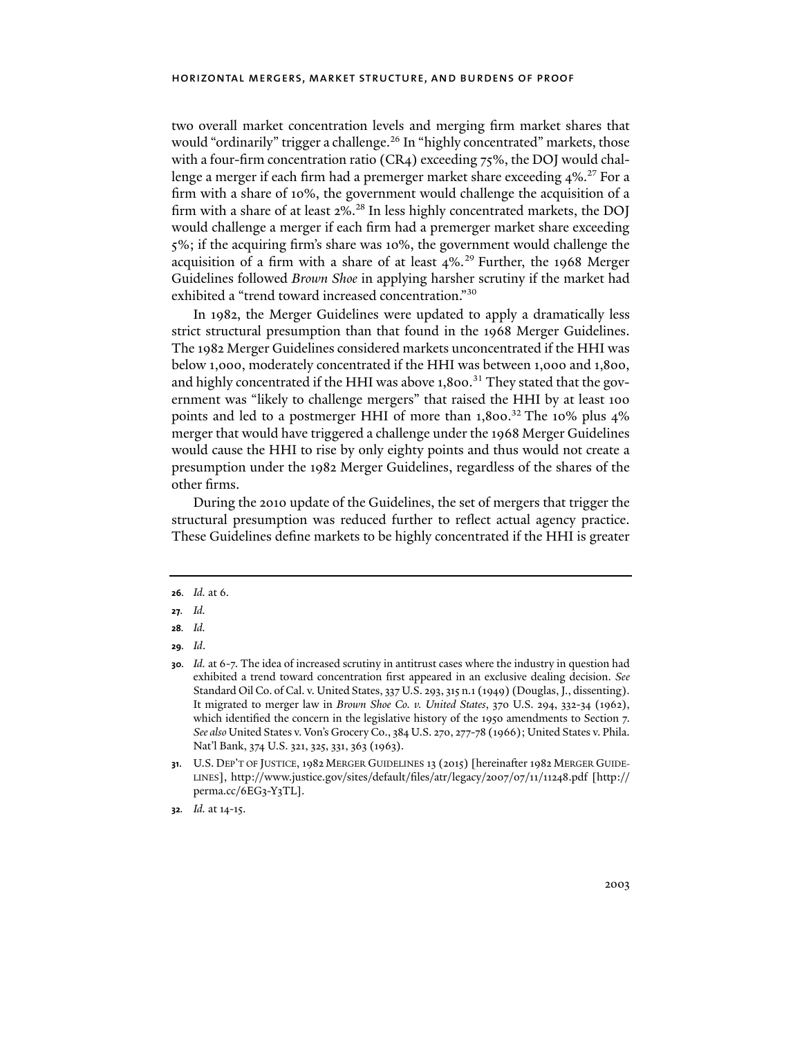two overall market concentration levels and merging firm market shares that would "ordinarily" trigger a challenge.<sup>26</sup> In "highly concentrated" markets, those with a four-firm concentration ratio (CR4) exceeding 75%, the DOJ would challenge a merger if each firm had a premerger market share exceeding  $4\%$ .<sup>27</sup> For a firm with a share of 10%, the government would challenge the acquisition of a firm with a share of at least 2%.<sup>28</sup> In less highly concentrated markets, the DOJ would challenge a merger if each firm had a premerger market share exceeding 5%; if the acquiring firm's share was 10%, the government would challenge the acquisition of a firm with a share of at least 4%.<sup>29</sup> Further, the 1968 Merger Guidelines followed *Brown Shoe* in applying harsher scrutiny if the market had exhibited a "trend toward increased concentration."30

In 1982, the Merger Guidelines were updated to apply a dramatically less strict structural presumption than that found in the 1968 Merger Guidelines. The 1982 Merger Guidelines considered markets unconcentrated if the HHI was below 1,000, moderately concentrated if the HHI was between 1,000 and 1,800, and highly concentrated if the HHI was above 1,800.<sup>31</sup> They stated that the government was "likely to challenge mergers" that raised the HHI by at least 100 points and led to a postmerger HHI of more than  $1,800$ .<sup>32</sup> The 10% plus  $4\%$ merger that would have triggered a challenge under the 1968 Merger Guidelines would cause the HHI to rise by only eighty points and thus would not create a presumption under the 1982 Merger Guidelines, regardless of the shares of the other firms.

During the 2010 update of the Guidelines, the set of mergers that trigger the structural presumption was reduced further to reflect actual agency practice. These Guidelines define markets to be highly concentrated if the HHI is greater

**26***. Id.* at 6.

**29***. Id*.

**<sup>27</sup>***. Id.*

**<sup>28</sup>***. Id.*

**<sup>30</sup>***. Id.* at 6-7. The idea of increased scrutiny in antitrust cases where the industry in question had exhibited a trend toward concentration first appeared in an exclusive dealing decision. *See*  Standard Oil Co. of Cal. v. United States, 337 U.S. 293, 315 n.1 (1949) (Douglas, J., dissenting). It migrated to merger law in *Brown Shoe Co. v. United States*, 370 U.S. 294, 332-34 (1962), which identified the concern in the legislative history of the 1950 amendments to Section 7. *See also* United States v. Von's Grocery Co., 384 U.S. 270, 277-78 (1966); United States v. Phila. Nat'l Bank, 374 U.S. 321, 325, 331, 363 (1963).

**<sup>31</sup>**. U.S. DEP'T OF JUSTICE, 1982 MERGER GUIDELINES 13 (2015) [hereinafter 1982 MERGER GUIDE-LINES], http://www.justice.gov/sites/default/files/atr/legacy/2007/07/11/11248.pdf [http:// perma.cc/6EG3-Y3TL].

**<sup>32</sup>***. Id.* at 14-15.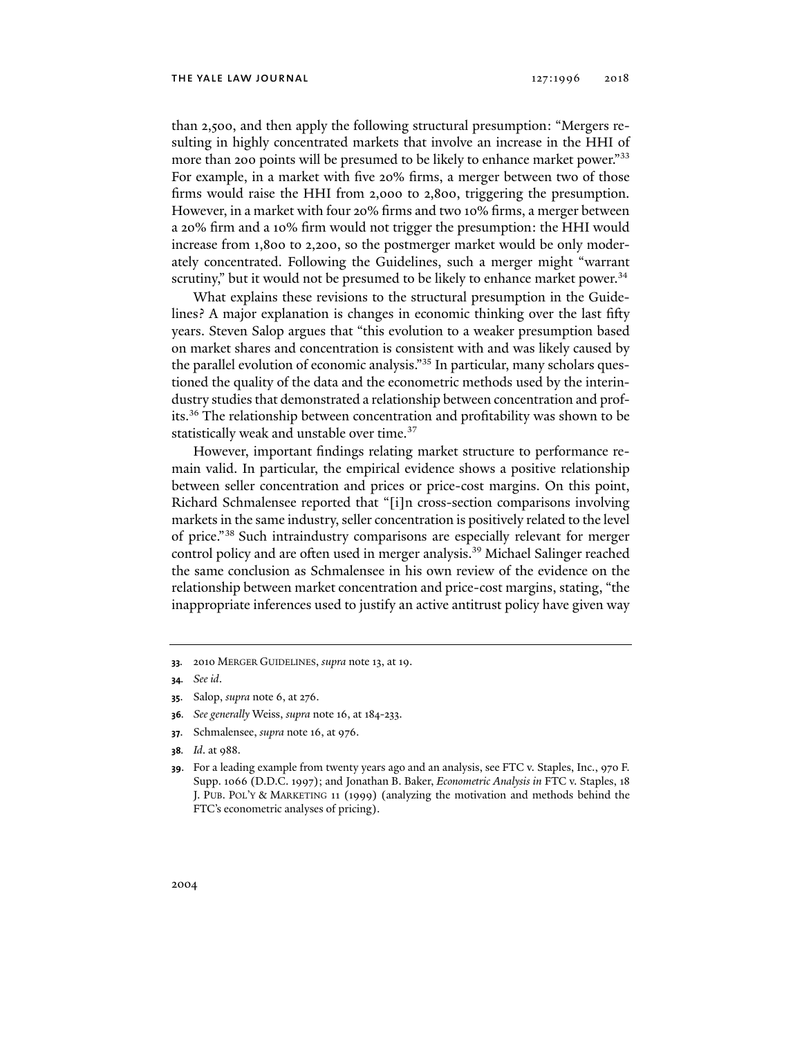than 2,500, and then apply the following structural presumption: "Mergers resulting in highly concentrated markets that involve an increase in the HHI of more than 200 points will be presumed to be likely to enhance market power.<sup>"33</sup> For example, in a market with five 20% firms, a merger between two of those firms would raise the HHI from 2,000 to 2,800, triggering the presumption. However, in a market with four 20% firms and two 10% firms, a merger between a 20% firm and a 10% firm would not trigger the presumption: the HHI would increase from 1,800 to 2,200, so the postmerger market would be only moderately concentrated. Following the Guidelines, such a merger might "warrant scrutiny," but it would not be presumed to be likely to enhance market power. $34$ 

What explains these revisions to the structural presumption in the Guidelines? A major explanation is changes in economic thinking over the last fifty years. Steven Salop argues that "this evolution to a weaker presumption based on market shares and concentration is consistent with and was likely caused by the parallel evolution of economic analysis."35 In particular, many scholars questioned the quality of the data and the econometric methods used by the interindustry studies that demonstrated a relationship between concentration and profits.36 The relationship between concentration and profitability was shown to be statistically weak and unstable over time.<sup>37</sup>

However, important findings relating market structure to performance remain valid. In particular, the empirical evidence shows a positive relationship between seller concentration and prices or price-cost margins. On this point, Richard Schmalensee reported that "[i]n cross-section comparisons involving markets in the same industry, seller concentration is positively related to the level of price."38 Such intraindustry comparisons are especially relevant for merger control policy and are often used in merger analysis.<sup>39</sup> Michael Salinger reached the same conclusion as Schmalensee in his own review of the evidence on the relationship between market concentration and price-cost margins, stating, "the inappropriate inferences used to justify an active antitrust policy have given way

- **35**. Salop, *supra* note 6, at 276.
- **36***. See generally* Weiss, *supra* note 16, at 184-233.
- **37**. Schmalensee, *supra* note 16, at 976.
- **38***. Id*. at 988.

**<sup>33</sup>***.* 2010 MERGER GUIDELINES, *supra* note 13, at 19.

**<sup>34</sup>***. See id*.

**<sup>39</sup>**. For a leading example from twenty years ago and an analysis, see FTC v. Staples, Inc., 970 F. Supp. 1066 (D.D.C. 1997); and Jonathan B. Baker, *Econometric Analysis in* FTC v. Staples, 18 J. PUB. POL'Y & MARKETING 11 (1999) (analyzing the motivation and methods behind the FTC's econometric analyses of pricing).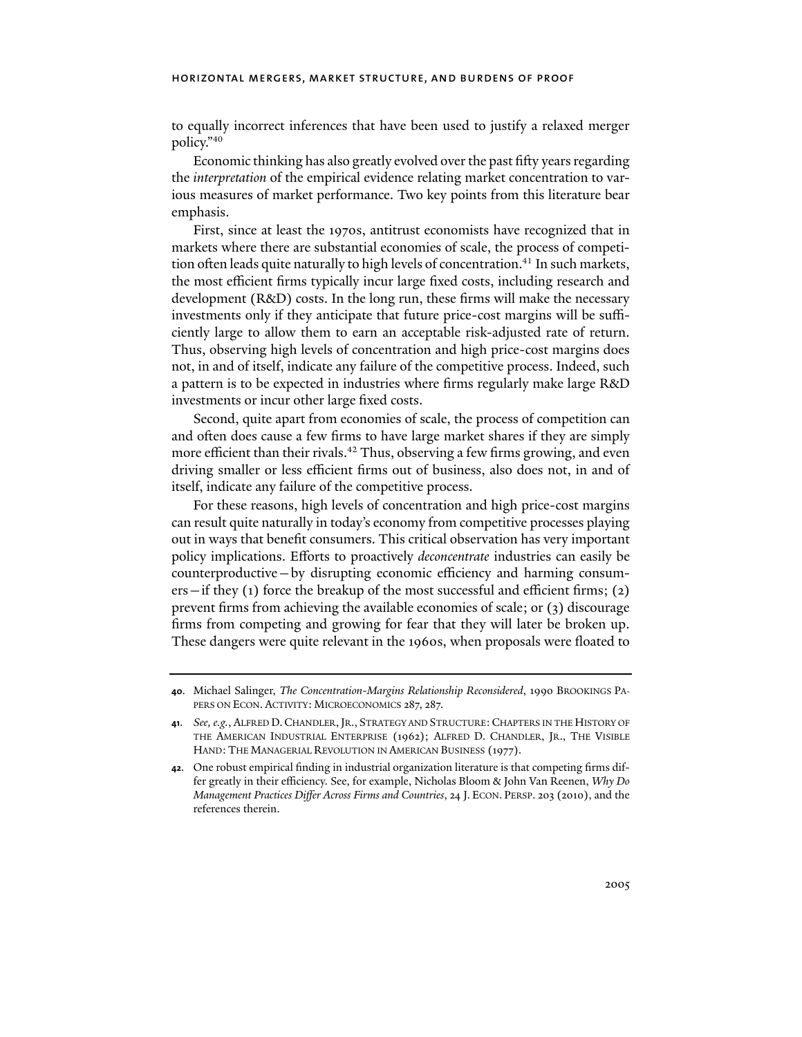to equally incorrect inferences that have been used to justify a relaxed merger policy."40

Economic thinking has also greatly evolved over the past fifty years regarding the *interpretation* of the empirical evidence relating market concentration to various measures of market performance. Two key points from this literature bear emphasis.

First, since at least the 1970s, antitrust economists have recognized that in markets where there are substantial economies of scale, the process of competition often leads quite naturally to high levels of concentration.<sup>41</sup> In such markets, the most efficient firms typically incur large fixed costs, including research and development (R&D) costs. In the long run, these firms will make the necessary investments only if they anticipate that future price-cost margins will be sufficiently large to allow them to earn an acceptable risk-adjusted rate of return. Thus, observing high levels of concentration and high price-cost margins does not, in and of itself, indicate any failure of the competitive process. Indeed, such a pattern is to be expected in industries where firms regularly make large R&D investments or incur other large fixed costs.

Second, quite apart from economies of scale, the process of competition can and often does cause a few firms to have large market shares if they are simply more efficient than their rivals.<sup>42</sup> Thus, observing a few firms growing, and even driving smaller or less efficient firms out of business, also does not, in and of itself, indicate any failure of the competitive process.

For these reasons, high levels of concentration and high price-cost margins can result quite naturally in today's economy from competitive processes playing out in ways that benefit consumers. This critical observation has very important policy implications. Efforts to proactively *deconcentrate* industries can easily be counterproductive—by disrupting economic efficiency and harming consumers—if they (1) force the breakup of the most successful and efficient firms; (2) prevent firms from achieving the available economies of scale; or (3) discourage firms from competing and growing for fear that they will later be broken up. These dangers were quite relevant in the 1960s, when proposals were floated to

**<sup>40</sup>**. Michael Salinger, *The Concentration-Margins Relationship Reconsidered*, 1990 BROOKINGS PA-PERS ON ECON. ACTIVITY: MICROECONOMICS 287, 287.

**<sup>41</sup>**. *See, e.g.*, ALFRED D.CHANDLER,JR., STRATEGY AND STRUCTURE:CHAPTERS IN THE HISTORY OF THE AMERICAN INDUSTRIAL ENTERPRISE (1962); ALFRED D. CHANDLER, JR., THE VISIBLE HAND: THE MANAGERIAL REVOLUTION IN AMERICAN BUSINESS (1977).

**<sup>42</sup>**. One robust empirical finding in industrial organization literature is that competing firms differ greatly in their efficiency. See, for example, Nicholas Bloom & John Van Reenen, *Why Do Management Practices Differ Across Firms and Countries*, 24 J. ECON. PERSP. 203 (2010), and the references therein.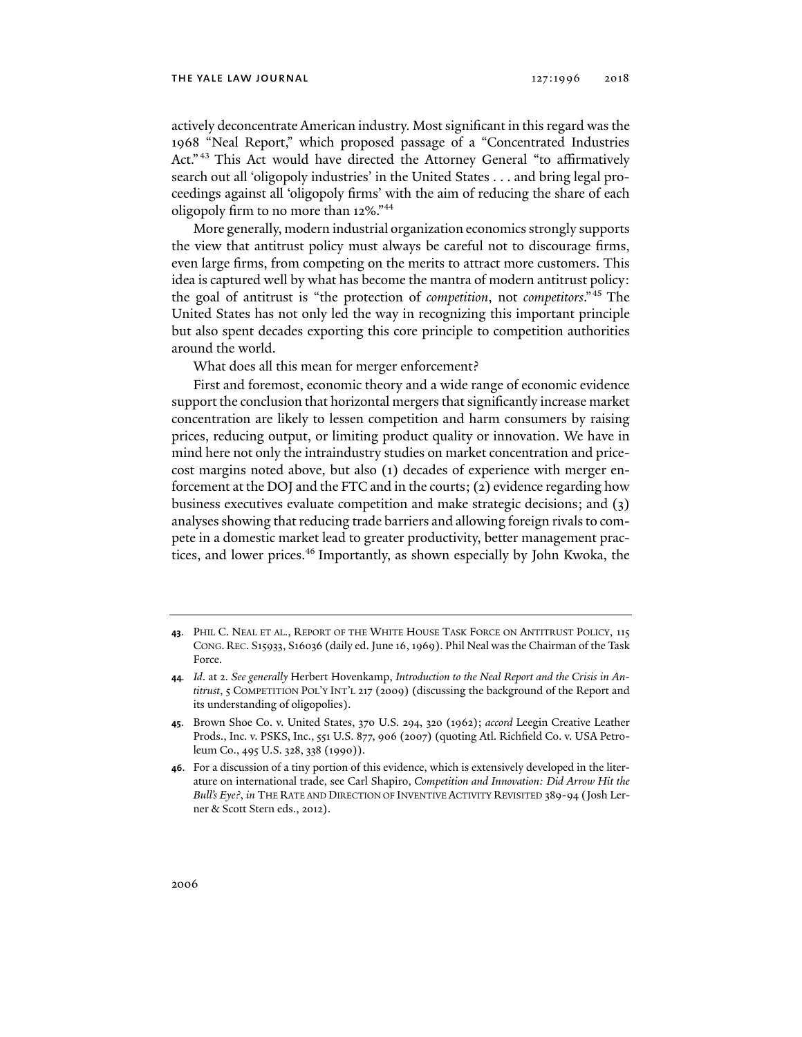#### THE YALE LAW JOURNAL 127:1996 2018

actively deconcentrate American industry. Most significant in this regard was the 1968 "Neal Report," which proposed passage of a "Concentrated Industries Act." 43 This Act would have directed the Attorney General "to affirmatively search out all 'oligopoly industries' in the United States . . . and bring legal proceedings against all 'oligopoly firms' with the aim of reducing the share of each oligopoly firm to no more than 12%."44

More generally, modern industrial organization economics strongly supports the view that antitrust policy must always be careful not to discourage firms, even large firms, from competing on the merits to attract more customers. This idea is captured well by what has become the mantra of modern antitrust policy: the goal of antitrust is "the protection of *competition*, not *competitors*."45 The United States has not only led the way in recognizing this important principle but also spent decades exporting this core principle to competition authorities around the world.

What does all this mean for merger enforcement?

First and foremost, economic theory and a wide range of economic evidence support the conclusion that horizontal mergers that significantly increase market concentration are likely to lessen competition and harm consumers by raising prices, reducing output, or limiting product quality or innovation. We have in mind here not only the intraindustry studies on market concentration and pricecost margins noted above, but also (1) decades of experience with merger enforcement at the DOJ and the FTC and in the courts; (2) evidence regarding how business executives evaluate competition and make strategic decisions; and (3) analyses showing that reducing trade barriers and allowing foreign rivals to compete in a domestic market lead to greater productivity, better management practices, and lower prices.46 Importantly, as shown especially by John Kwoka, the

**<sup>43</sup>**. PHIL C. NEAL ET AL., REPORT OF THE WHITE HOUSE TASK FORCE ON ANTITRUST POLICY, 115 CONG. REC. S15933, S16036 (daily ed. June 16, 1969). Phil Neal was the Chairman of the Task Force.

**<sup>44</sup>***. Id*. at 2. *See generally* Herbert Hovenkamp, *Introduction to the Neal Report and the Crisis in Antitrust*, 5 COMPETITION POL'Y INT'L 217 (2009) (discussing the background of the Report and its understanding of oligopolies).

**<sup>45</sup>**. Brown Shoe Co. v. United States, 370 U.S. 294, 320 (1962); *accord* Leegin Creative Leather Prods., Inc. v. PSKS, Inc., 551 U.S. 877, 906 (2007) (quoting Atl. Richfield Co. v. USA Petroleum Co., 495 U.S. 328, 338 (1990)).

**<sup>46</sup>**. For a discussion of a tiny portion of this evidence, which is extensively developed in the literature on international trade, see Carl Shapiro, *Competition and Innovation: Did Arrow Hit the Bull's Eye?*, *in* THE RATE AND DIRECTION OF INVENTIVE ACTIVITY REVISITED 389-94 (Josh Lerner & Scott Stern eds., 2012).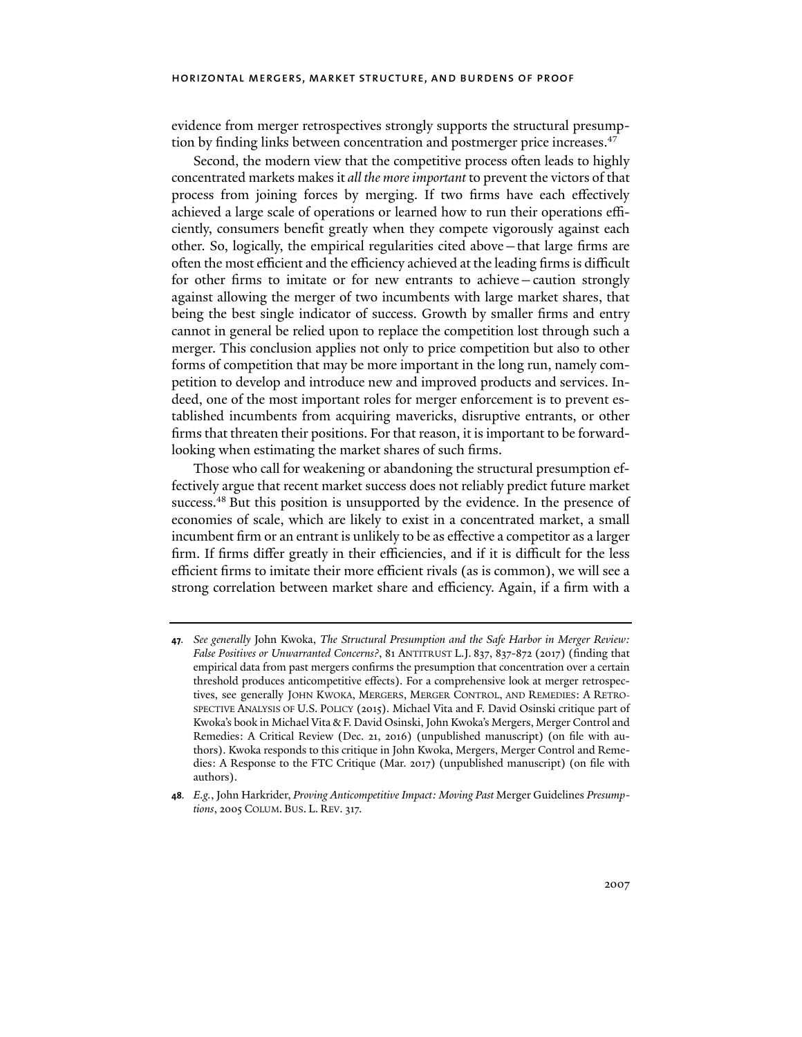evidence from merger retrospectives strongly supports the structural presumption by finding links between concentration and postmerger price increases.<sup>47</sup>

Second, the modern view that the competitive process often leads to highly concentrated markets makes it *all the more important* to prevent the victors of that process from joining forces by merging. If two firms have each effectively achieved a large scale of operations or learned how to run their operations efficiently, consumers benefit greatly when they compete vigorously against each other. So, logically, the empirical regularities cited above—that large firms are often the most efficient and the efficiency achieved at the leading firms is difficult for other firms to imitate or for new entrants to achieve—caution strongly against allowing the merger of two incumbents with large market shares, that being the best single indicator of success. Growth by smaller firms and entry cannot in general be relied upon to replace the competition lost through such a merger. This conclusion applies not only to price competition but also to other forms of competition that may be more important in the long run, namely competition to develop and introduce new and improved products and services. Indeed, one of the most important roles for merger enforcement is to prevent established incumbents from acquiring mavericks, disruptive entrants, or other firms that threaten their positions. For that reason, it is important to be forwardlooking when estimating the market shares of such firms.

Those who call for weakening or abandoning the structural presumption effectively argue that recent market success does not reliably predict future market success.<sup>48</sup> But this position is unsupported by the evidence. In the presence of economies of scale, which are likely to exist in a concentrated market, a small incumbent firm or an entrant is unlikely to be as effective a competitor as a larger firm. If firms differ greatly in their efficiencies, and if it is difficult for the less efficient firms to imitate their more efficient rivals (as is common), we will see a strong correlation between market share and efficiency. Again, if a firm with a

**<sup>47</sup>***. See generally* John Kwoka, *The Structural Presumption and the Safe Harbor in Merger Review: False Positives or Unwarranted Concerns?*, 81 ANTITRUST L.J. 837, 837-872 (2017) (finding that empirical data from past mergers confirms the presumption that concentration over a certain threshold produces anticompetitive effects). For a comprehensive look at merger retrospectives, see generally JOHN KWOKA, MERGERS, MERGER CONTROL, AND REMEDIES: A RETRO-SPECTIVE ANALYSIS OF U.S. POLICY (2015). Michael Vita and F. David Osinski critique part of Kwoka's book in Michael Vita & F. David Osinski, John Kwoka's Mergers, Merger Control and Remedies: A Critical Review (Dec. 21, 2016) (unpublished manuscript) (on file with authors). Kwoka responds to this critique in John Kwoka, Mergers, Merger Control and Remedies: A Response to the FTC Critique (Mar. 2017) (unpublished manuscript) (on file with authors).

**<sup>48</sup>***. E.g.*, John Harkrider, *Proving Anticompetitive Impact: Moving Past* Merger Guidelines *Presumptions*, 2005 COLUM. BUS. L. REV. 317.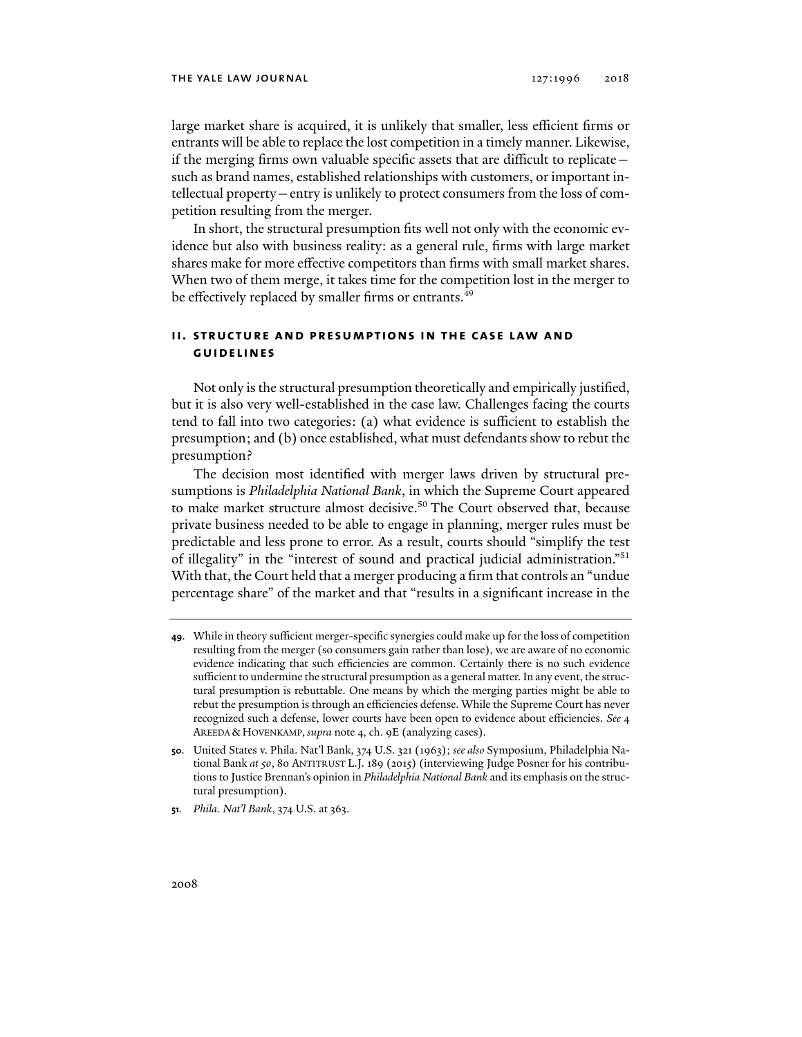large market share is acquired, it is unlikely that smaller, less efficient firms or entrants will be able to replace the lost competition in a timely manner. Likewise, if the merging firms own valuable specific assets that are difficult to replicate such as brand names, established relationships with customers, or important intellectual property—entry is unlikely to protect consumers from the loss of competition resulting from the merger.

In short, the structural presumption fits well not only with the economic evidence but also with business reality: as a general rule, firms with large market shares make for more effective competitors than firms with small market shares. When two of them merge, it takes time for the competition lost in the merger to be effectively replaced by smaller firms or entrants.<sup>49</sup>

## **ii. structure and presumptions in the case law and guidelines**

Not only is the structural presumption theoretically and empirically justified, but it is also very well-established in the case law. Challenges facing the courts tend to fall into two categories: (a) what evidence is sufficient to establish the presumption; and (b) once established, what must defendants show to rebut the presumption?

The decision most identified with merger laws driven by structural presumptions is *Philadelphia National Bank*, in which the Supreme Court appeared to make market structure almost decisive.<sup>50</sup> The Court observed that, because private business needed to be able to engage in planning, merger rules must be predictable and less prone to error. As a result, courts should "simplify the test of illegality" in the "interest of sound and practical judicial administration."51 With that, the Court held that a merger producing a firm that controls an "undue percentage share" of the market and that "results in a significant increase in the

- **49**. While in theory sufficient merger-specific synergies could make up for the loss of competition resulting from the merger (so consumers gain rather than lose), we are aware of no economic evidence indicating that such efficiencies are common. Certainly there is no such evidence sufficient to undermine the structural presumption as a general matter. In any event, the structural presumption is rebuttable. One means by which the merging parties might be able to rebut the presumption is through an efficiencies defense. While the Supreme Court has never recognized such a defense, lower courts have been open to evidence about efficiencies. *See* 4 AREEDA & HOVENKAMP, *supra* note 4, ch. 9E (analyzing cases).
- **50**. United States v. Phila. Nat'l Bank, 374 U.S. 321 (1963); *see also* Symposium, Philadelphia National Bank *at 50*, 80 ANTITRUST L.J. 189 (2015) (interviewing Judge Posner for his contributions to Justice Brennan's opinion in *Philadelphia National Bank* and its emphasis on the structural presumption).
- **51***. Phila. Nat'l Bank*, 374 U.S. at 363.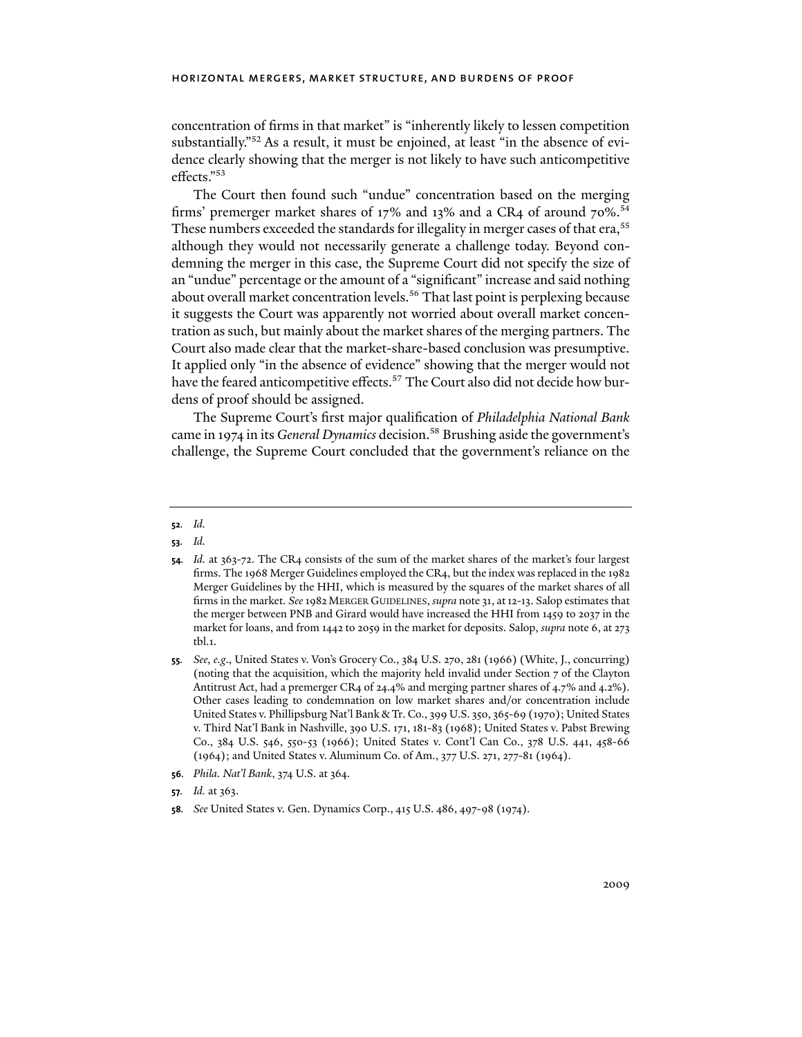concentration of firms in that market" is "inherently likely to lessen competition substantially."52 As a result, it must be enjoined, at least "in the absence of evidence clearly showing that the merger is not likely to have such anticompetitive effects."53

The Court then found such "undue" concentration based on the merging firms' premerger market shares of  $17\%$  and  $13\%$  and a CR4 of around  $70\%$ .<sup>54</sup> These numbers exceeded the standards for illegality in merger cases of that era,<sup>55</sup> although they would not necessarily generate a challenge today. Beyond condemning the merger in this case, the Supreme Court did not specify the size of an "undue" percentage or the amount of a "significant" increase and said nothing about overall market concentration levels.<sup>56</sup> That last point is perplexing because it suggests the Court was apparently not worried about overall market concentration as such, but mainly about the market shares of the merging partners. The Court also made clear that the market-share-based conclusion was presumptive. It applied only "in the absence of evidence" showing that the merger would not have the feared anticompetitive effects.<sup>57</sup> The Court also did not decide how burdens of proof should be assigned.

The Supreme Court's first major qualification of *Philadelphia National Bank* came in 1974 in its *General Dynamics* decision.58 Brushing aside the government's challenge, the Supreme Court concluded that the government's reliance on the

#### **52***. Id.*

- **56***. Phila. Nat'l Bank*, 374 U.S. at 364.
- **57***. Id.* at 363.
- **58***. See* United States v. Gen. Dynamics Corp., 415 U.S. 486, 497-98 (1974).

**<sup>53</sup>***. Id.*

**<sup>54</sup>***. Id.* at 363-72. The CR4 consists of the sum of the market shares of the market's four largest firms. The 1968 Merger Guidelines employed the CR4, but the index was replaced in the 1982 Merger Guidelines by the HHI, which is measured by the squares of the market shares of all firms in the market. *See* 1982 MERGER GUIDELINES, *supra* note 31, at12-13. Salop estimates that the merger between PNB and Girard would have increased the HHI from 1459 to 2037 in the market for loans, and from 1442 to 2059 in the market for deposits. Salop, *supra* note 6, at 273 tbl.1.

**<sup>55</sup>***. See, e.g*., United States v. Von's Grocery Co., 384 U.S. 270, 281 (1966) (White, J., concurring) (noting that the acquisition, which the majority held invalid under Section 7 of the Clayton Antitrust Act, had a premerger CR4 of 24.4% and merging partner shares of 4.7% and 4.2%). Other cases leading to condemnation on low market shares and/or concentration include United States v. Phillipsburg Nat'l Bank & Tr. Co., 399 U.S. 350, 365-69 (1970); United States v. Third Nat'l Bank in Nashville, 390 U.S. 171, 181-83 (1968); United States v. Pabst Brewing Co., 384 U.S. 546, 550-53 (1966); United States v. Cont'l Can Co., 378 U.S. 441, 458-66 (1964); and United States v. Aluminum Co. of Am., 377 U.S. 271, 277-81 (1964).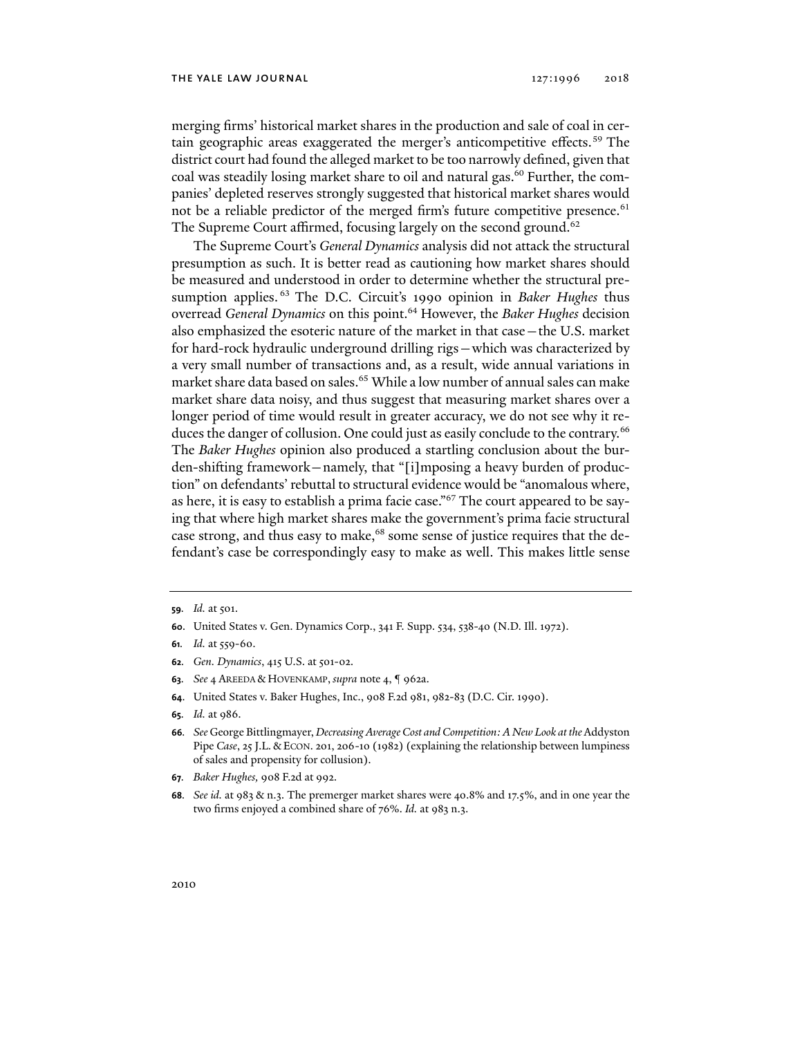#### THE YALE LAW JOURNAL 127:1996 2018

merging firms' historical market shares in the production and sale of coal in certain geographic areas exaggerated the merger's anticompetitive effects.<sup>59</sup> The district court had found the alleged market to be too narrowly defined, given that coal was steadily losing market share to oil and natural gas.<sup>60</sup> Further, the companies' depleted reserves strongly suggested that historical market shares would not be a reliable predictor of the merged firm's future competitive presence.<sup>61</sup> The Supreme Court affirmed, focusing largely on the second ground.<sup>62</sup>

The Supreme Court's *General Dynamics* analysis did not attack the structural presumption as such. It is better read as cautioning how market shares should be measured and understood in order to determine whether the structural presumption applies. 63 The D.C. Circuit's 1990 opinion in *Baker Hughes* thus overread *General Dynamics* on this point.64 However, the *Baker Hughes* decision also emphasized the esoteric nature of the market in that case—the U.S. market for hard-rock hydraulic underground drilling rigs—which was characterized by a very small number of transactions and, as a result, wide annual variations in market share data based on sales.<sup>65</sup> While a low number of annual sales can make market share data noisy, and thus suggest that measuring market shares over a longer period of time would result in greater accuracy, we do not see why it reduces the danger of collusion. One could just as easily conclude to the contrary.<sup>66</sup> The *Baker Hughes* opinion also produced a startling conclusion about the burden-shifting framework—namely, that "[i]mposing a heavy burden of production" on defendants' rebuttal to structural evidence would be "anomalous where, as here, it is easy to establish a prima facie case."67 The court appeared to be saying that where high market shares make the government's prima facie structural case strong, and thus easy to make,<sup>68</sup> some sense of justice requires that the defendant's case be correspondingly easy to make as well. This makes little sense

**60**. United States v. Gen. Dynamics Corp., 341 F. Supp. 534, 538-40 (N.D. Ill. 1972).

- **62***. Gen. Dynamics*, 415 U.S. at 501-02.
- **63***. See* 4 AREEDA & HOVENKAMP, *supra* note 4, ¶ 962a.
- **64**. United States v. Baker Hughes, Inc., 908 F.2d 981, 982-83 (D.C. Cir. 1990).
- **65***. Id.* at 986.
- **66***. See* George Bittlingmayer, *Decreasing Average Cost and Competition: A New Look at the* Addyston Pipe *Case*, 25 J.L. & ECON. 201, 206-10 (1982) (explaining the relationship between lumpiness of sales and propensity for collusion).
- **67***. Baker Hughes,* 908 F.2d at 992.
- **68***. See id.* at 983 & n.3. The premerger market shares were 40.8% and 17.5%, and in one year the two firms enjoyed a combined share of 76%. *Id.* at 983 n.3.

**<sup>59</sup>***. Id.* at 501.

**<sup>61</sup>***. Id.* at 559-60.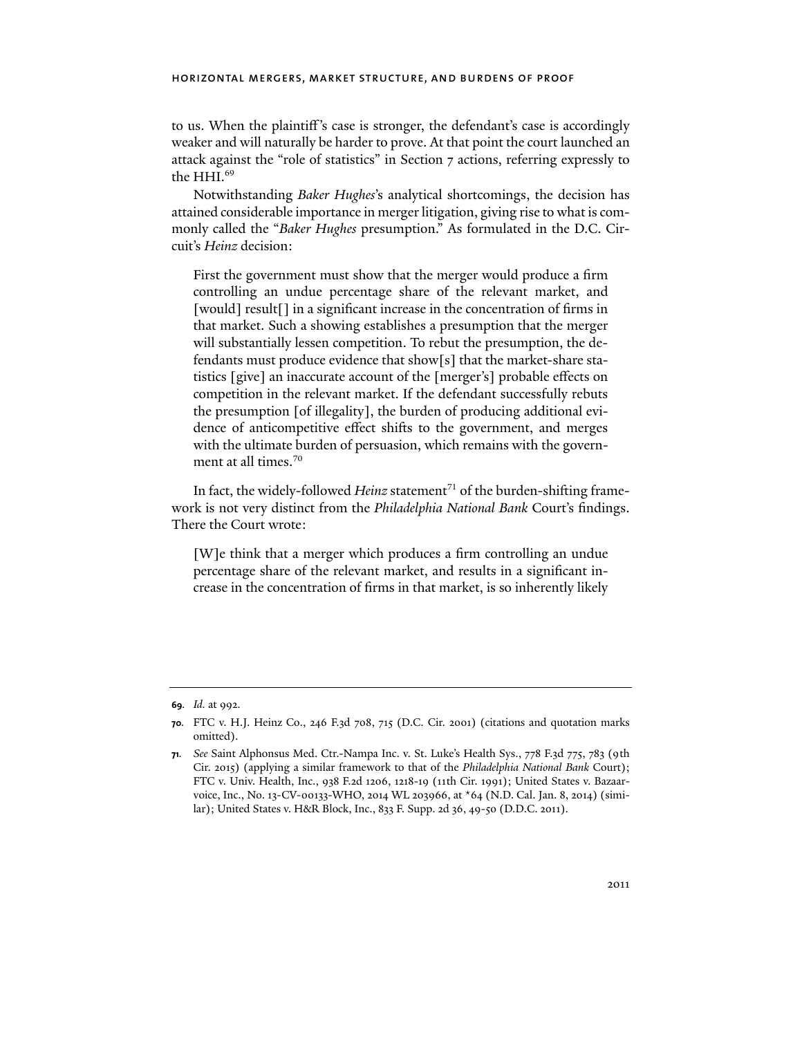to us. When the plaintiff 's case is stronger, the defendant's case is accordingly weaker and will naturally be harder to prove. At that point the court launched an attack against the "role of statistics" in Section 7 actions, referring expressly to the HHI.<sup>69</sup>

Notwithstanding *Baker Hughes*'s analytical shortcomings, the decision has attained considerable importance in merger litigation, giving rise to what is commonly called the "*Baker Hughes* presumption." As formulated in the D.C. Circuit's *Heinz* decision:

First the government must show that the merger would produce a firm controlling an undue percentage share of the relevant market, and [would] result[] in a significant increase in the concentration of firms in that market. Such a showing establishes a presumption that the merger will substantially lessen competition. To rebut the presumption, the defendants must produce evidence that show[s] that the market-share statistics [give] an inaccurate account of the [merger's] probable effects on competition in the relevant market. If the defendant successfully rebuts the presumption [of illegality], the burden of producing additional evidence of anticompetitive effect shifts to the government, and merges with the ultimate burden of persuasion, which remains with the government at all times.<sup>70</sup>

In fact, the widely-followed *Heinz* statement<sup>71</sup> of the burden-shifting framework is not very distinct from the *Philadelphia National Bank* Court's findings. There the Court wrote:

[W]e think that a merger which produces a firm controlling an undue percentage share of the relevant market, and results in a significant increase in the concentration of firms in that market, is so inherently likely

**<sup>69</sup>***. Id.* at 992.

**<sup>70</sup>***.* FTC v. H.J. Heinz Co., 246 F.3d 708, 715 (D.C. Cir. 2001) (citations and quotation marks omitted).

**<sup>71</sup>***. See* Saint Alphonsus Med. Ctr.-Nampa Inc. v. St. Luke's Health Sys., 778 F.3d 775, 783 (9th Cir. 2015) (applying a similar framework to that of the *Philadelphia National Bank* Court); FTC v. Univ. Health, Inc., 938 F.2d 1206, 1218-19 (11th Cir. 1991); United States v. Bazaarvoice, Inc., No. 13-CV-00133-WHO, 2014 WL 203966, at \*64 (N.D. Cal. Jan. 8, 2014) (similar); United States v. H&R Block, Inc., 833 F. Supp. 2d 36, 49-50 (D.D.C. 2011).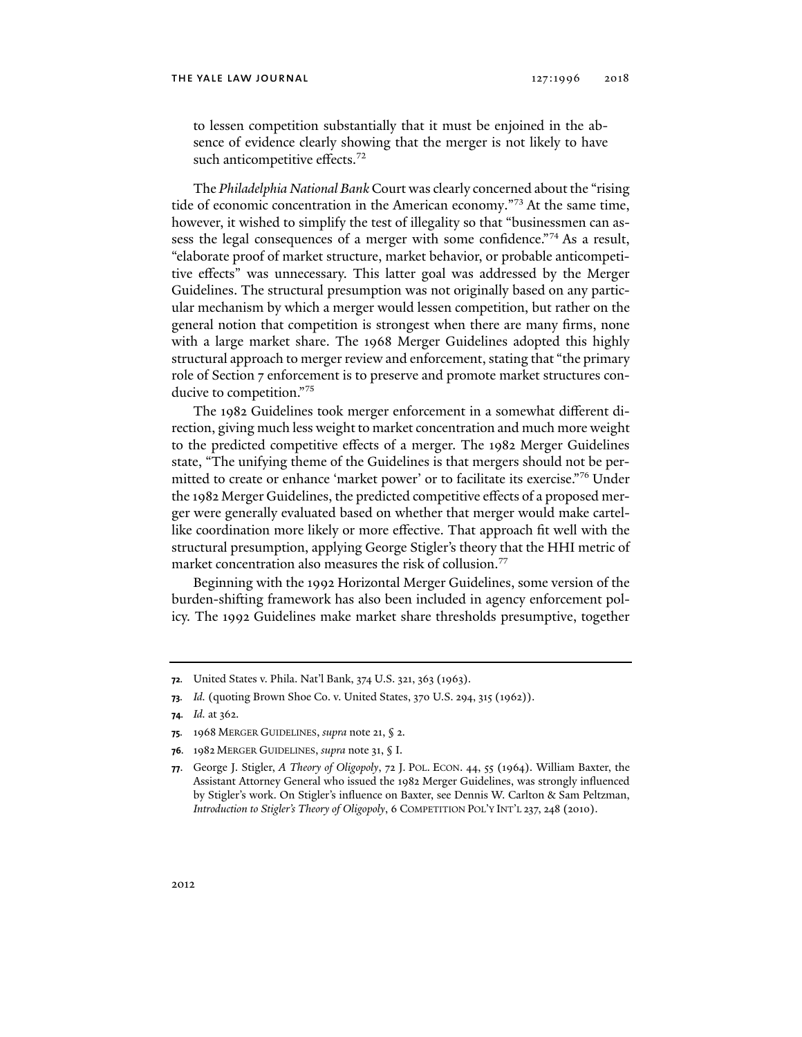to lessen competition substantially that it must be enjoined in the absence of evidence clearly showing that the merger is not likely to have such anticompetitive effects.<sup>72</sup>

The *Philadelphia National Bank* Court was clearly concerned about the "rising tide of economic concentration in the American economy."73 At the same time, however, it wished to simplify the test of illegality so that "businessmen can assess the legal consequences of a merger with some confidence."<sup>74</sup> As a result, "elaborate proof of market structure, market behavior, or probable anticompetitive effects" was unnecessary. This latter goal was addressed by the Merger Guidelines. The structural presumption was not originally based on any particular mechanism by which a merger would lessen competition, but rather on the general notion that competition is strongest when there are many firms, none with a large market share. The 1968 Merger Guidelines adopted this highly structural approach to merger review and enforcement, stating that "the primary role of Section 7 enforcement is to preserve and promote market structures conducive to competition."75

The 1982 Guidelines took merger enforcement in a somewhat different direction, giving much less weight to market concentration and much more weight to the predicted competitive effects of a merger. The 1982 Merger Guidelines state, "The unifying theme of the Guidelines is that mergers should not be permitted to create or enhance 'market power' or to facilitate its exercise."76 Under the 1982 Merger Guidelines, the predicted competitive effects of a proposed merger were generally evaluated based on whether that merger would make cartellike coordination more likely or more effective. That approach fit well with the structural presumption, applying George Stigler's theory that the HHI metric of market concentration also measures the risk of collusion.<sup>77</sup>

Beginning with the 1992 Horizontal Merger Guidelines, some version of the burden-shifting framework has also been included in agency enforcement policy. The 1992 Guidelines make market share thresholds presumptive, together

**<sup>72</sup>***.* United States v. Phila. Nat'l Bank, 374 U.S. 321, 363 (1963).

**<sup>73</sup>***. Id.* (quoting Brown Shoe Co. v. United States, 370 U.S. 294, 315 (1962)).

**<sup>74</sup>***. Id.* at 362.

**<sup>75</sup>***.* 1968 MERGER GUIDELINES, *supra* note 21, § 2.

**<sup>76</sup>***.* 1982 MERGER GUIDELINES, *supra* note 31, § I.

**<sup>77</sup>**. George J. Stigler, *A Theory of Oligopoly*, 72 J. POL. ECON. 44, 55 (1964). William Baxter, the Assistant Attorney General who issued the 1982 Merger Guidelines, was strongly influenced by Stigler's work. On Stigler's influence on Baxter, see Dennis W. Carlton & Sam Peltzman, *Introduction to Stigler's Theory of Oligopoly*, 6 COMPETITION POL'Y INT'L 237, 248 (2010).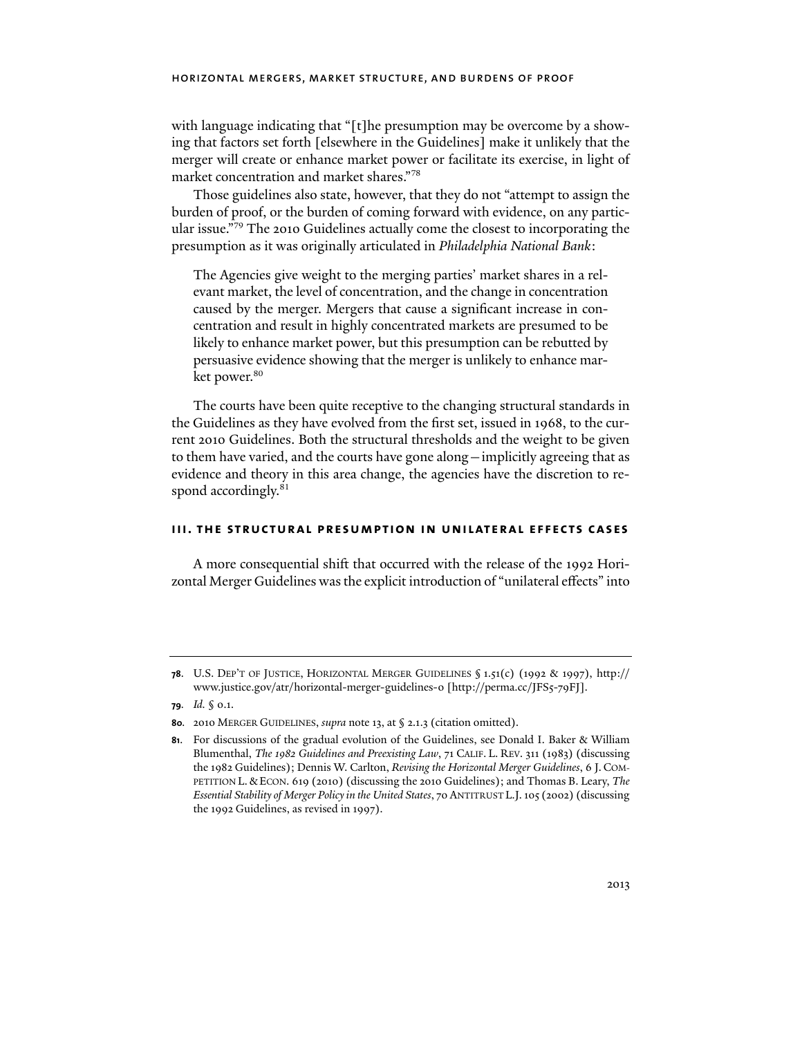with language indicating that "[t]he presumption may be overcome by a showing that factors set forth [elsewhere in the Guidelines] make it unlikely that the merger will create or enhance market power or facilitate its exercise, in light of market concentration and market shares."78

Those guidelines also state, however, that they do not "attempt to assign the burden of proof, or the burden of coming forward with evidence, on any particular issue."79 The 2010 Guidelines actually come the closest to incorporating the presumption as it was originally articulated in *Philadelphia National Bank*:

The Agencies give weight to the merging parties' market shares in a relevant market, the level of concentration, and the change in concentration caused by the merger. Mergers that cause a significant increase in concentration and result in highly concentrated markets are presumed to be likely to enhance market power, but this presumption can be rebutted by persuasive evidence showing that the merger is unlikely to enhance market power.<sup>80</sup>

The courts have been quite receptive to the changing structural standards in the Guidelines as they have evolved from the first set, issued in 1968, to the current 2010 Guidelines. Both the structural thresholds and the weight to be given to them have varied, and the courts have gone along—implicitly agreeing that as evidence and theory in this area change, the agencies have the discretion to respond accordingly.<sup>81</sup>

#### **iii. the structural presumption in unilateral effects cases**

A more consequential shift that occurred with the release of the 1992 Horizontal Merger Guidelines was the explicit introduction of "unilateral effects" into

**<sup>78</sup>**. U.S. DEP'T OF JUSTICE, HORIZONTAL MERGER GUIDELINES § 1.51(c) (1992 & 1997), http:// www.justice.gov/atr/horizontal-merger-guidelines-0 [http://perma.cc/JFS5-79FJ].

**<sup>79</sup>***. Id.* § 0.1.

**<sup>80</sup>***.* 2010 MERGER GUIDELINES, *supra* note 13, at § 2.1.3 (citation omitted).

**<sup>81</sup>**. For discussions of the gradual evolution of the Guidelines, see Donald I. Baker & William Blumenthal, *The 1982 Guidelines and Preexisting Law*, 71 CALIF. L. REV. 311 (1983) (discussing the 1982 Guidelines); Dennis W. Carlton, *Revising the Horizontal Merger Guidelines*, 6 J. COM-PETITION L. &ECON. 619 (2010) (discussing the 2010 Guidelines); and Thomas B. Leary, *The Essential Stability of Merger Policy in the United States*, 70 ANTITRUST L.J. 105 (2002) (discussing the 1992 Guidelines, as revised in 1997).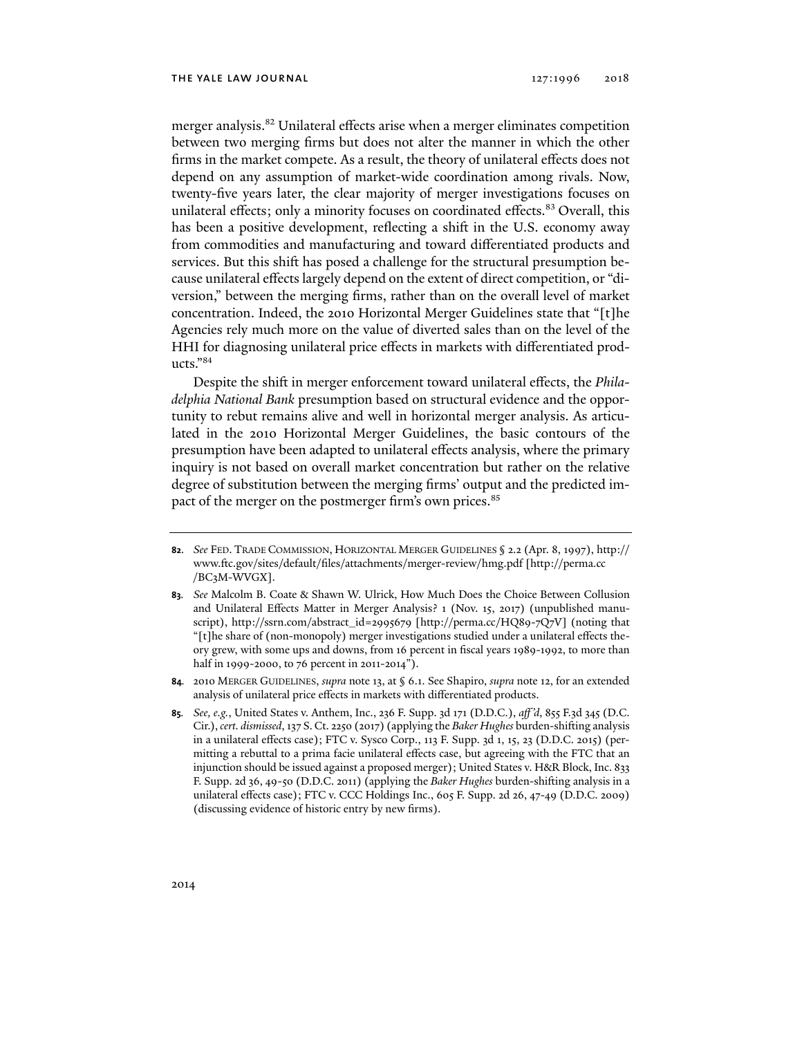merger analysis.<sup>82</sup> Unilateral effects arise when a merger eliminates competition between two merging firms but does not alter the manner in which the other firms in the market compete. As a result, the theory of unilateral effects does not depend on any assumption of market-wide coordination among rivals. Now, twenty-five years later, the clear majority of merger investigations focuses on unilateral effects; only a minority focuses on coordinated effects.<sup>83</sup> Overall, this has been a positive development, reflecting a shift in the U.S. economy away from commodities and manufacturing and toward differentiated products and services. But this shift has posed a challenge for the structural presumption because unilateral effects largely depend on the extent of direct competition, or "diversion," between the merging firms, rather than on the overall level of market concentration. Indeed, the 2010 Horizontal Merger Guidelines state that "[t]he Agencies rely much more on the value of diverted sales than on the level of the HHI for diagnosing unilateral price effects in markets with differentiated products."84

Despite the shift in merger enforcement toward unilateral effects, the *Philadelphia National Bank* presumption based on structural evidence and the opportunity to rebut remains alive and well in horizontal merger analysis. As articulated in the 2010 Horizontal Merger Guidelines, the basic contours of the presumption have been adapted to unilateral effects analysis, where the primary inquiry is not based on overall market concentration but rather on the relative degree of substitution between the merging firms' output and the predicted impact of the merger on the postmerger firm's own prices.<sup>85</sup>

- **84***.* 2010 MERGER GUIDELINES, *supra* note 13, at § 6.1. See Shapiro, *supra* note 12, for an extended analysis of unilateral price effects in markets with differentiated products.
- **85***. See, e.g.*, United States v. Anthem, Inc., 236 F. Supp. 3d 171 (D.D.C.), *aff 'd*, 855 F.3d 345 (D.C. Cir.), *cert. dismissed*, 137 S. Ct. 2250 (2017) (applying the *Baker Hughes* burden-shifting analysis in a unilateral effects case); FTC v. Sysco Corp., 113 F. Supp. 3d 1, 15, 23 (D.D.C. 2015) (permitting a rebuttal to a prima facie unilateral effects case, but agreeing with the FTC that an injunction should be issued against a proposed merger); United States v. H&R Block, Inc. 833 F. Supp. 2d 36, 49-50 (D.D.C. 2011) (applying the *Baker Hughes* burden-shifting analysis in a unilateral effects case); FTC v. CCC Holdings Inc., 605 F. Supp. 2d 26, 47-49 (D.D.C. 2009) (discussing evidence of historic entry by new firms).

**<sup>82</sup>**. *See* FED. TRADE COMMISSION, HORIZONTAL MERGER GUIDELINES § 2.2 (Apr. 8, 1997), http:// www.ftc.gov/sites/default/files/attachments/merger-review/hmg.pdf [http://perma.cc /BC3M-WVGX].

**<sup>83</sup>***. See* Malcolm B. Coate & Shawn W. Ulrick, How Much Does the Choice Between Collusion and Unilateral Effects Matter in Merger Analysis? 1 (Nov. 15, 2017) (unpublished manuscript), http://ssrn.com/abstract\_id=2995679 [http://perma.cc/HQ89-7Q7V] (noting that "[t]he share of (non-monopoly) merger investigations studied under a unilateral effects theory grew, with some ups and downs, from 16 percent in fiscal years 1989-1992, to more than half in 1999-2000, to 76 percent in 2011-2014").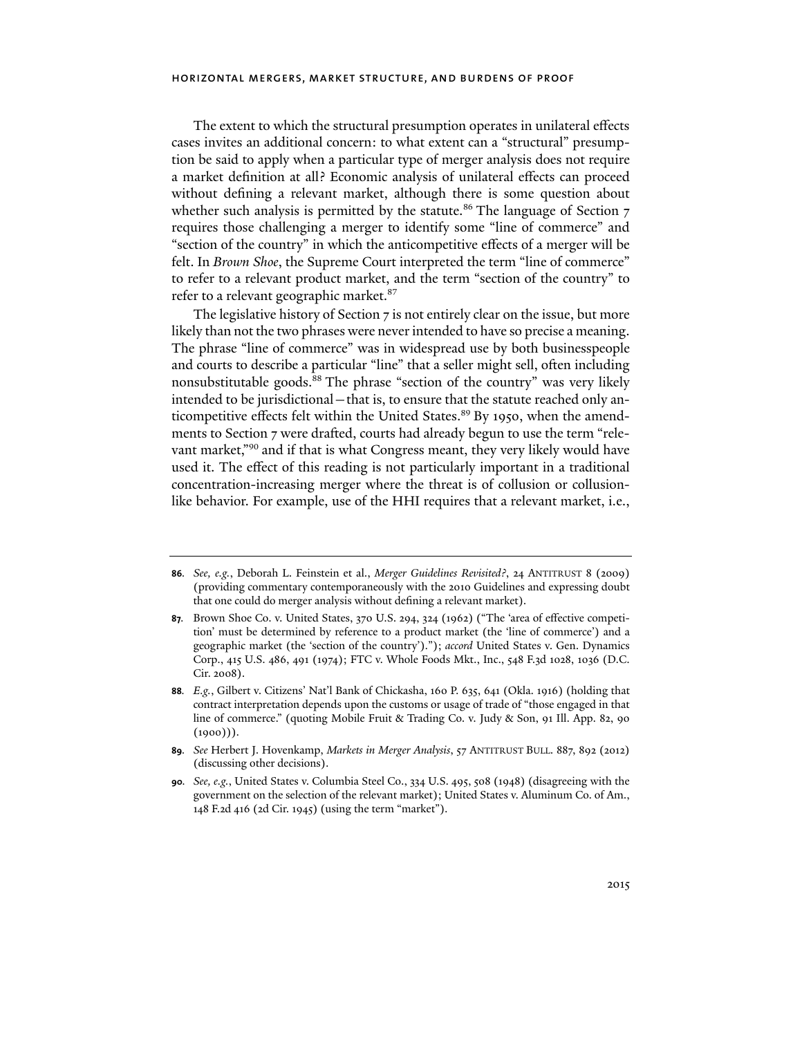The extent to which the structural presumption operates in unilateral effects cases invites an additional concern: to what extent can a "structural" presumption be said to apply when a particular type of merger analysis does not require a market definition at all? Economic analysis of unilateral effects can proceed without defining a relevant market, although there is some question about whether such analysis is permitted by the statute.<sup>86</sup> The language of Section 7 requires those challenging a merger to identify some "line of commerce" and "section of the country" in which the anticompetitive effects of a merger will be felt. In *Brown Shoe*, the Supreme Court interpreted the term "line of commerce" to refer to a relevant product market, and the term "section of the country" to refer to a relevant geographic market.<sup>87</sup>

The legislative history of Section 7 is not entirely clear on the issue, but more likely than not the two phrases were never intended to have so precise a meaning. The phrase "line of commerce" was in widespread use by both businesspeople and courts to describe a particular "line" that a seller might sell, often including nonsubstitutable goods.<sup>88</sup> The phrase "section of the country" was very likely intended to be jurisdictional – that is, to ensure that the statute reached only anticompetitive effects felt within the United States.<sup>89</sup> By 1950, when the amendments to Section 7 were drafted, courts had already begun to use the term "relevant market,"<sup>90</sup> and if that is what Congress meant, they very likely would have used it. The effect of this reading is not particularly important in a traditional concentration-increasing merger where the threat is of collusion or collusionlike behavior. For example, use of the HHI requires that a relevant market, i.e.,

**<sup>86</sup>***. See, e.g.*, Deborah L. Feinstein et al., *Merger Guidelines Revisited?*, 24 ANTITRUST 8 (2009) (providing commentary contemporaneously with the 2010 Guidelines and expressing doubt that one could do merger analysis without defining a relevant market).

**<sup>87</sup>***.* Brown Shoe Co. v. United States, 370 U.S. 294, 324 (1962) ("The 'area of effective competition' must be determined by reference to a product market (the 'line of commerce') and a geographic market (the 'section of the country')."); *accord* United States v. Gen. Dynamics Corp., 415 U.S. 486, 491 (1974); FTC v. Whole Foods Mkt., Inc., 548 F.3d 1028, 1036 (D.C. Cir. 2008).

**<sup>88</sup>***. E.g.*, Gilbert v. Citizens' Nat'l Bank of Chickasha, 160 P. 635, 641 (Okla. 1916) (holding that contract interpretation depends upon the customs or usage of trade of "those engaged in that line of commerce." (quoting Mobile Fruit & Trading Co. v. Judy & Son, 91 Ill. App. 82, 90  $(1000)$ ).

**<sup>89</sup>***. See* Herbert J. Hovenkamp, *Markets in Merger Analysis*, 57 ANTITRUST BULL. 887, 892 (2012) (discussing other decisions).

**<sup>90</sup>***. See, e.g.*, United States v. Columbia Steel Co., 334 U.S. 495, 508 (1948) (disagreeing with the government on the selection of the relevant market); United States v. Aluminum Co. of Am., 148 F.2d 416 (2d Cir. 1945) (using the term "market").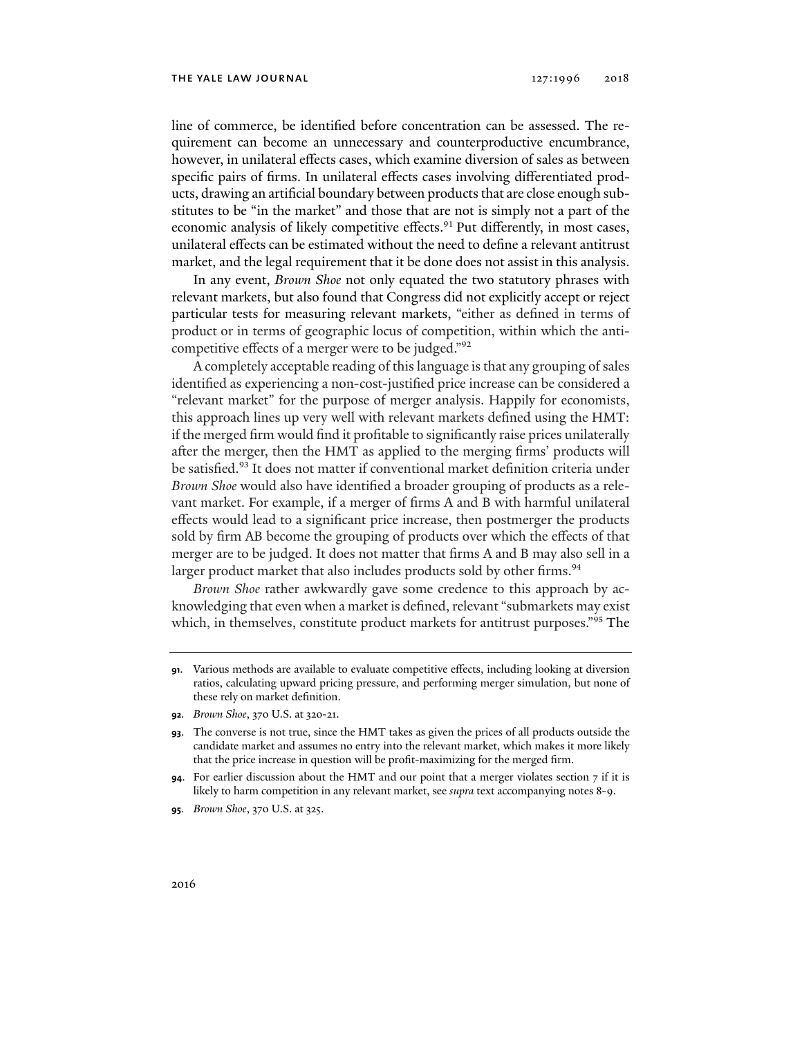line of commerce, be identified before concentration can be assessed. The requirement can become an unnecessary and counterproductive encumbrance, however, in unilateral effects cases, which examine diversion of sales as between specific pairs of firms. In unilateral effects cases involving differentiated products, drawing an artificial boundary between products that are close enough substitutes to be "in the market" and those that are not is simply not a part of the economic analysis of likely competitive effects.<sup>91</sup> Put differently, in most cases, unilateral effects can be estimated without the need to define a relevant antitrust market, and the legal requirement that it be done does not assist in this analysis.

In any event, *Brown Shoe* not only equated the two statutory phrases with relevant markets, but also found that Congress did not explicitly accept or reject particular tests for measuring relevant markets, "either as defined in terms of product or in terms of geographic locus of competition, within which the anticompetitive effects of a merger were to be judged."92

A completely acceptable reading of this language is that any grouping of sales identified as experiencing a non-cost-justified price increase can be considered a "relevant market" for the purpose of merger analysis. Happily for economists, this approach lines up very well with relevant markets defined using the HMT: if the merged firm would find it profitable to significantly raise prices unilaterally after the merger, then the HMT as applied to the merging firms' products will be satisfied.<sup>93</sup> It does not matter if conventional market definition criteria under *Brown Shoe* would also have identified a broader grouping of products as a relevant market. For example, if a merger of firms A and B with harmful unilateral effects would lead to a significant price increase, then postmerger the products sold by firm AB become the grouping of products over which the effects of that merger are to be judged. It does not matter that firms A and B may also sell in a larger product market that also includes products sold by other firms.<sup>94</sup>

*Brown Shoe* rather awkwardly gave some credence to this approach by acknowledging that even when a market is defined, relevant "submarkets may exist which, in themselves, constitute product markets for antitrust purposes."<sup>95</sup> The

**<sup>91</sup>**. Various methods are available to evaluate competitive effects, including looking at diversion ratios, calculating upward pricing pressure, and performing merger simulation, but none of these rely on market definition.

**<sup>92</sup>***. Brown Shoe*, 370 U.S. at 320-21.

**<sup>93</sup>**. The converse is not true, since the HMT takes as given the prices of all products outside the candidate market and assumes no entry into the relevant market, which makes it more likely that the price increase in question will be profit-maximizing for the merged firm.

**<sup>94</sup>**. For earlier discussion about the HMT and our point that a merger violates section 7 if it is likely to harm competition in any relevant market, see *supra* text accompanying notes 8-9.

**<sup>95</sup>***. Brown Shoe*, 370 U.S. at 325.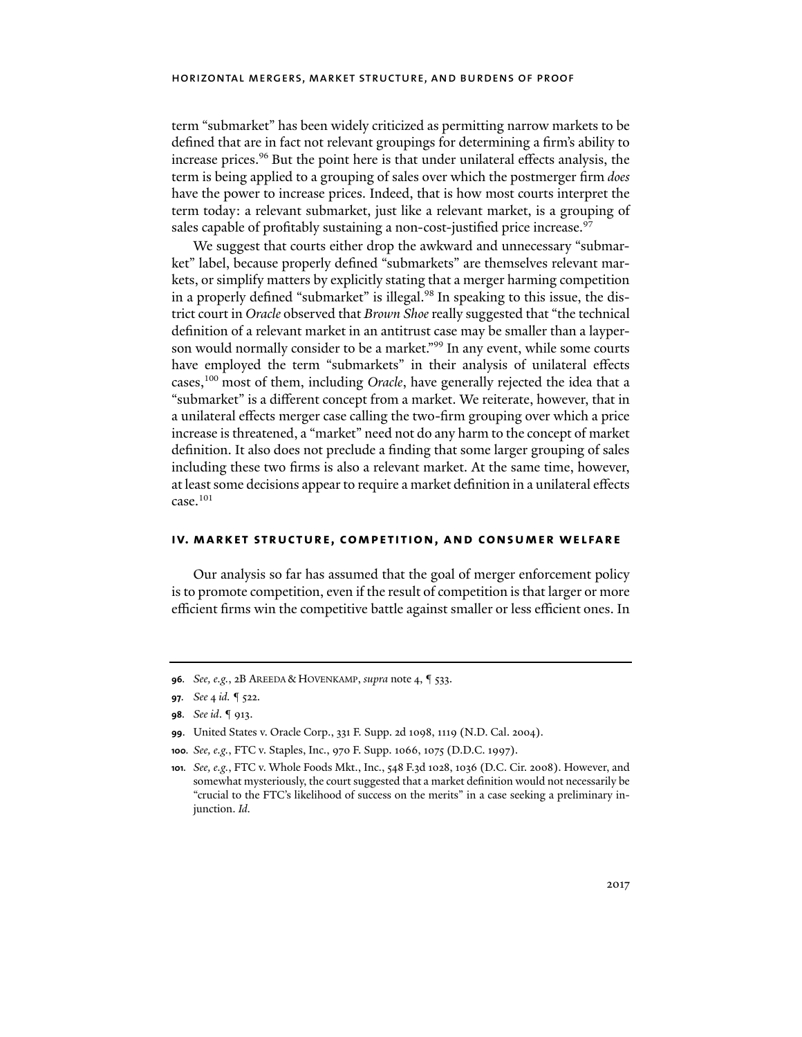term "submarket" has been widely criticized as permitting narrow markets to be defined that are in fact not relevant groupings for determining a firm's ability to increase prices.96 But the point here is that under unilateral effects analysis, the term is being applied to a grouping of sales over which the postmerger firm *does* have the power to increase prices. Indeed, that is how most courts interpret the term today: a relevant submarket, just like a relevant market, is a grouping of sales capable of profitably sustaining a non-cost-justified price increase.<sup>97</sup>

We suggest that courts either drop the awkward and unnecessary "submarket" label, because properly defined "submarkets" are themselves relevant markets, or simplify matters by explicitly stating that a merger harming competition in a properly defined "submarket" is illegal.<sup>98</sup> In speaking to this issue, the district court in *Oracle* observed that *Brown Shoe* really suggested that "the technical definition of a relevant market in an antitrust case may be smaller than a layperson would normally consider to be a market."<sup>99</sup> In any event, while some courts have employed the term "submarkets" in their analysis of unilateral effects cases,100 most of them, including *Oracle*, have generally rejected the idea that a "submarket" is a different concept from a market. We reiterate, however, that in a unilateral effects merger case calling the two-firm grouping over which a price increase is threatened, a "market" need not do any harm to the concept of market definition. It also does not preclude a finding that some larger grouping of sales including these two firms is also a relevant market. At the same time, however, at least some decisions appear to require a market definition in a unilateral effects  $case.<sup>101</sup>$ 

#### **iv. market structure, competition, and consumer welfare**

Our analysis so far has assumed that the goal of merger enforcement policy is to promote competition, even if the result of competition is that larger or more efficient firms win the competitive battle against smaller or less efficient ones. In

**<sup>96</sup>***. See, e.g.*, 2B AREEDA & HOVENKAMP, *supra* note 4, ¶ 533.

**<sup>97</sup>***. See* 4 *id.* ¶ 522.

**<sup>98</sup>***. See id*. ¶ 913.

**<sup>99</sup>**. United States v. Oracle Corp., 331 F. Supp. 2d 1098, 1119 (N.D. Cal. 2004).

**<sup>100</sup>***. See, e.g.*, FTC v. Staples, Inc., 970 F. Supp. 1066, 1075 (D.D.C. 1997).

**<sup>101</sup>***. See, e.g.*, FTC v. Whole Foods Mkt., Inc., 548 F.3d 1028, 1036 (D.C. Cir. 2008). However, and somewhat mysteriously, the court suggested that a market definition would not necessarily be "crucial to the FTC's likelihood of success on the merits" in a case seeking a preliminary injunction. *Id.*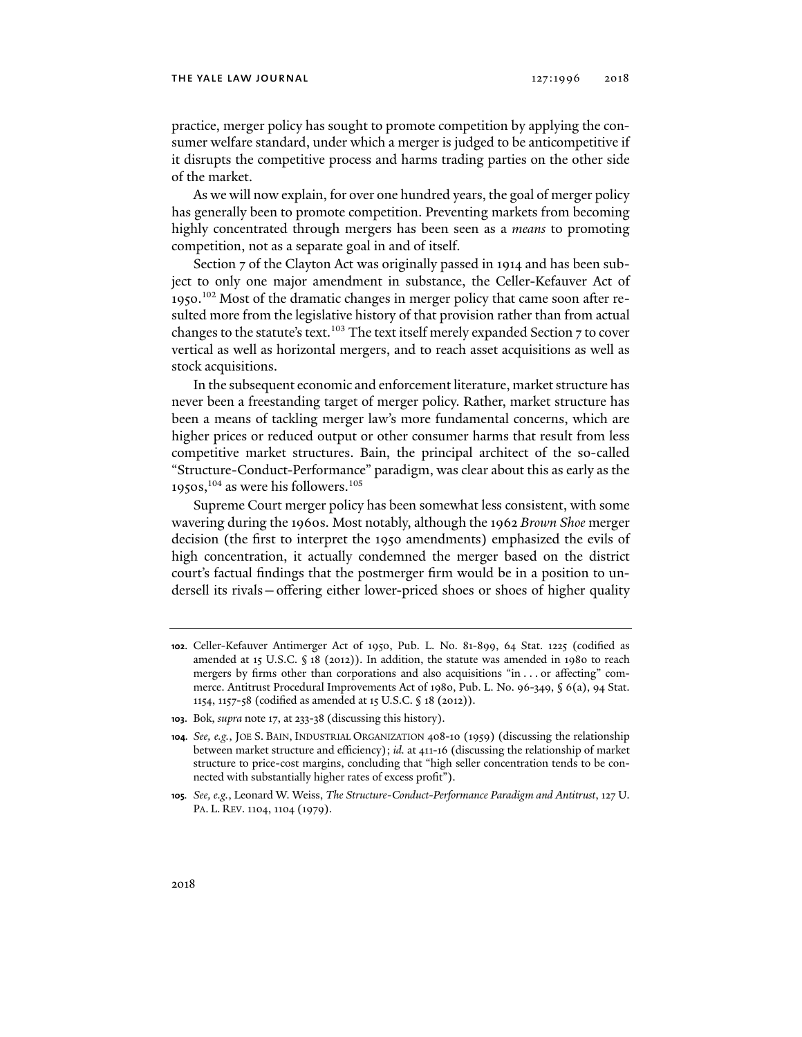practice, merger policy has sought to promote competition by applying the consumer welfare standard, under which a merger is judged to be anticompetitive if it disrupts the competitive process and harms trading parties on the other side of the market.

As we will now explain, for over one hundred years, the goal of merger policy has generally been to promote competition. Preventing markets from becoming highly concentrated through mergers has been seen as a *means* to promoting competition, not as a separate goal in and of itself.

Section 7 of the Clayton Act was originally passed in 1914 and has been subject to only one major amendment in substance, the Celler-Kefauver Act of 1950.102 Most of the dramatic changes in merger policy that came soon after resulted more from the legislative history of that provision rather than from actual changes to the statute's text.<sup>103</sup> The text itself merely expanded Section 7 to cover vertical as well as horizontal mergers, and to reach asset acquisitions as well as stock acquisitions.

In the subsequent economic and enforcement literature, market structure has never been a freestanding target of merger policy. Rather, market structure has been a means of tackling merger law's more fundamental concerns, which are higher prices or reduced output or other consumer harms that result from less competitive market structures. Bain, the principal architect of the so-called "Structure-Conduct-Performance" paradigm, was clear about this as early as the 1950s,  $104$  as were his followers.  $105$ 

Supreme Court merger policy has been somewhat less consistent, with some wavering during the 1960s. Most notably, although the 1962 *Brown Shoe* merger decision (the first to interpret the 1950 amendments) emphasized the evils of high concentration, it actually condemned the merger based on the district court's factual findings that the postmerger firm would be in a position to undersell its rivals—offering either lower-priced shoes or shoes of higher quality

**<sup>102</sup>**. Celler-Kefauver Antimerger Act of 1950, Pub. L. No. 81-899, 64 Stat. 1225 (codified as amended at 15 U.S.C.  $\S$  18 (2012)). In addition, the statute was amended in 1980 to reach mergers by firms other than corporations and also acquisitions "in . . . or affecting" commerce. Antitrust Procedural Improvements Act of 1980, Pub. L. No. 96-349, § 6(a), 94 Stat. 1154, 1157-58 (codified as amended at 15 U.S.C. § 18 (2012)).

**<sup>103</sup>**. Bok, *supra* note 17, at 233-38 (discussing this history).

**<sup>104</sup>***. See, e.g.*, JOE S. BAIN, INDUSTRIAL ORGANIZATION 408-10 (1959) (discussing the relationship between market structure and efficiency); *id.* at 411-16 (discussing the relationship of market structure to price-cost margins, concluding that "high seller concentration tends to be connected with substantially higher rates of excess profit").

**<sup>105</sup>***. See, e.g.*, Leonard W. Weiss, *The Structure-Conduct-Performance Paradigm and Antitrust*, 127 U. PA. L. REV. 1104, 1104 (1979).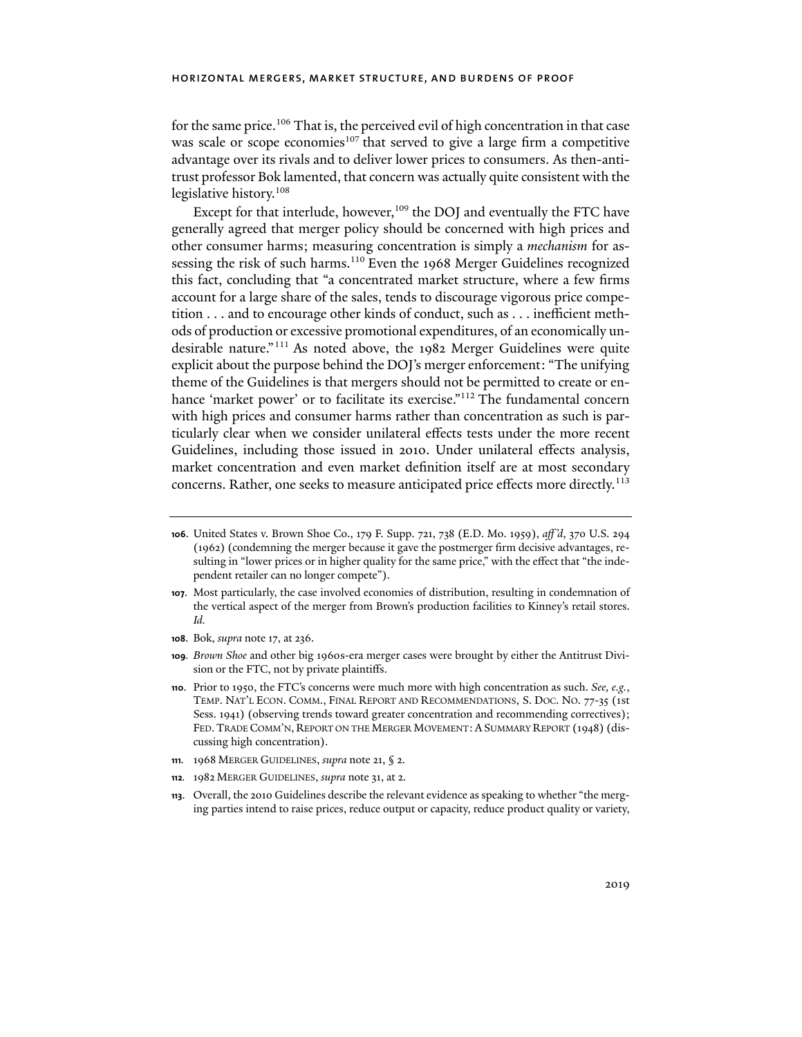for the same price.<sup>106</sup> That is, the perceived evil of high concentration in that case was scale or scope economies<sup>107</sup> that served to give a large firm a competitive advantage over its rivals and to deliver lower prices to consumers. As then-antitrust professor Bok lamented, that concern was actually quite consistent with the legislative history.108

Except for that interlude, however,<sup>109</sup> the DOJ and eventually the FTC have generally agreed that merger policy should be concerned with high prices and other consumer harms; measuring concentration is simply a *mechanism* for assessing the risk of such harms.<sup>110</sup> Even the 1968 Merger Guidelines recognized this fact, concluding that "a concentrated market structure, where a few firms account for a large share of the sales, tends to discourage vigorous price competition . . . and to encourage other kinds of conduct, such as . . . inefficient methods of production or excessive promotional expenditures, of an economically undesirable nature."111 As noted above, the 1982 Merger Guidelines were quite explicit about the purpose behind the DOJ's merger enforcement: "The unifying theme of the Guidelines is that mergers should not be permitted to create or enhance 'market power' or to facilitate its exercise."<sup>112</sup> The fundamental concern with high prices and consumer harms rather than concentration as such is particularly clear when we consider unilateral effects tests under the more recent Guidelines, including those issued in 2010. Under unilateral effects analysis, market concentration and even market definition itself are at most secondary concerns. Rather, one seeks to measure anticipated price effects more directly.<sup>113</sup>

- **107**. Most particularly, the case involved economies of distribution, resulting in condemnation of the vertical aspect of the merger from Brown's production facilities to Kinney's retail stores. *Id.*
- **108**. Bok, *supra* note 17, at 236.
- **109***. Brown Shoe* and other big 1960s-era merger cases were brought by either the Antitrust Division or the FTC, not by private plaintiffs.
- **110**. Prior to 1950, the FTC's concerns were much more with high concentration as such. *See, e.g.*, TEMP. NAT'L ECON. COMM., FINAL REPORT AND RECOMMENDATIONS, S. DOC. NO. 77-35 (1st Sess. 1941) (observing trends toward greater concentration and recommending correctives); FED. TRADE COMM'N, REPORT ON THE MERGER MOVEMENT: A SUMMARY REPORT (1948) (discussing high concentration).
- **111***.* 1968 MERGER GUIDELINES, *supra* note 21, § 2.
- **112***.* 1982 MERGER GUIDELINES, *supra* note 31, at 2.
- **113**. Overall, the 2010 Guidelines describe the relevant evidence as speaking to whether "the merging parties intend to raise prices, reduce output or capacity, reduce product quality or variety,

**<sup>106</sup>**. United States v. Brown Shoe Co., 179 F. Supp. 721, 738 (E.D. Mo. 1959), *aff 'd*, 370 U.S. 294 (1962) (condemning the merger because it gave the postmerger firm decisive advantages, resulting in "lower prices or in higher quality for the same price," with the effect that "the independent retailer can no longer compete").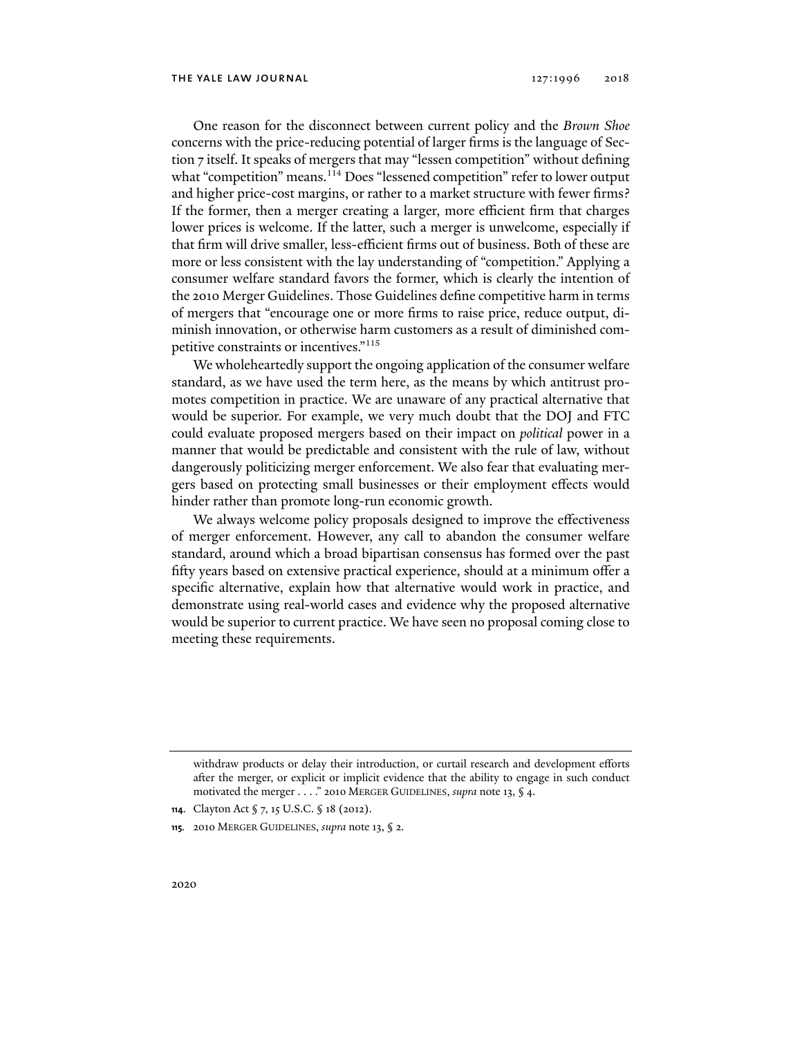One reason for the disconnect between current policy and the *Brown Shoe* concerns with the price-reducing potential of larger firms is the language of Section 7 itself. It speaks of mergers that may "lessen competition" without defining what "competition" means.<sup>114</sup> Does "lessened competition" refer to lower output and higher price-cost margins, or rather to a market structure with fewer firms? If the former, then a merger creating a larger, more efficient firm that charges lower prices is welcome. If the latter, such a merger is unwelcome, especially if that firm will drive smaller, less-efficient firms out of business. Both of these are more or less consistent with the lay understanding of "competition." Applying a consumer welfare standard favors the former, which is clearly the intention of the 2010 Merger Guidelines. Those Guidelines define competitive harm in terms of mergers that "encourage one or more firms to raise price, reduce output, diminish innovation, or otherwise harm customers as a result of diminished competitive constraints or incentives."115

We wholeheartedly support the ongoing application of the consumer welfare standard, as we have used the term here, as the means by which antitrust promotes competition in practice. We are unaware of any practical alternative that would be superior. For example, we very much doubt that the DOJ and FTC could evaluate proposed mergers based on their impact on *political* power in a manner that would be predictable and consistent with the rule of law, without dangerously politicizing merger enforcement. We also fear that evaluating mergers based on protecting small businesses or their employment effects would hinder rather than promote long-run economic growth.

We always welcome policy proposals designed to improve the effectiveness of merger enforcement. However, any call to abandon the consumer welfare standard, around which a broad bipartisan consensus has formed over the past fifty years based on extensive practical experience, should at a minimum offer a specific alternative, explain how that alternative would work in practice, and demonstrate using real-world cases and evidence why the proposed alternative would be superior to current practice. We have seen no proposal coming close to meeting these requirements.

withdraw products or delay their introduction, or curtail research and development efforts after the merger, or explicit or implicit evidence that the ability to engage in such conduct motivated the merger . . . ." 2010 MERGER GUIDELINES, *supra* note 13, § 4.

**<sup>114</sup>**. Clayton Act § 7, 15 U.S.C. § 18 (2012).

**<sup>115</sup>***.* 2010 MERGER GUIDELINES, *supra* note 13, § 2.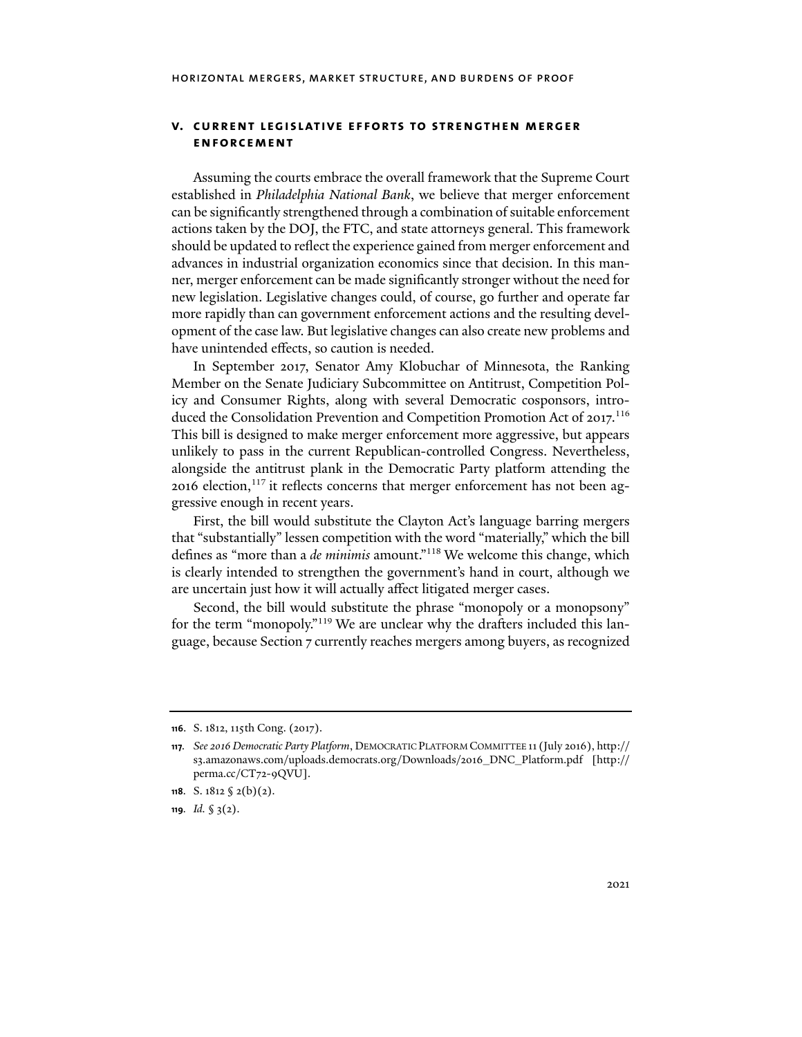#### **v. current legislative efforts to strengthen merger enforcement**

Assuming the courts embrace the overall framework that the Supreme Court established in *Philadelphia National Bank*, we believe that merger enforcement can be significantly strengthened through a combination of suitable enforcement actions taken by the DOJ, the FTC, and state attorneys general. This framework should be updated to reflect the experience gained from merger enforcement and advances in industrial organization economics since that decision. In this manner, merger enforcement can be made significantly stronger without the need for new legislation. Legislative changes could, of course, go further and operate far more rapidly than can government enforcement actions and the resulting development of the case law. But legislative changes can also create new problems and have unintended effects, so caution is needed.

In September 2017, Senator Amy Klobuchar of Minnesota, the Ranking Member on the Senate Judiciary Subcommittee on Antitrust, Competition Policy and Consumer Rights, along with several Democratic cosponsors, introduced the Consolidation Prevention and Competition Promotion Act of 2017.<sup>116</sup> This bill is designed to make merger enforcement more aggressive, but appears unlikely to pass in the current Republican-controlled Congress. Nevertheless, alongside the antitrust plank in the Democratic Party platform attending the 2016 election, $117$  it reflects concerns that merger enforcement has not been aggressive enough in recent years.

First, the bill would substitute the Clayton Act's language barring mergers that "substantially" lessen competition with the word "materially," which the bill defines as "more than a *de minimis* amount."118 We welcome this change, which is clearly intended to strengthen the government's hand in court, although we are uncertain just how it will actually affect litigated merger cases.

Second, the bill would substitute the phrase "monopoly or a monopsony" for the term "monopoly."119 We are unclear why the drafters included this language, because Section 7 currently reaches mergers among buyers, as recognized

**<sup>116</sup>**. S. 1812, 115th Cong. (2017).

**<sup>117</sup>***. See 2016 Democratic Party Platform*, DEMOCRATIC PLATFORM COMMITTEE 11 (July 2016), http:// s3.amazonaws.com/uploads.democrats.org/Downloads/2016\_DNC\_Platform.pdf [http:// perma.cc/CT72-9QVU].

**<sup>118</sup>**. S. 1812 § 2(b)(2).

**<sup>119</sup>***. Id.* § 3(2).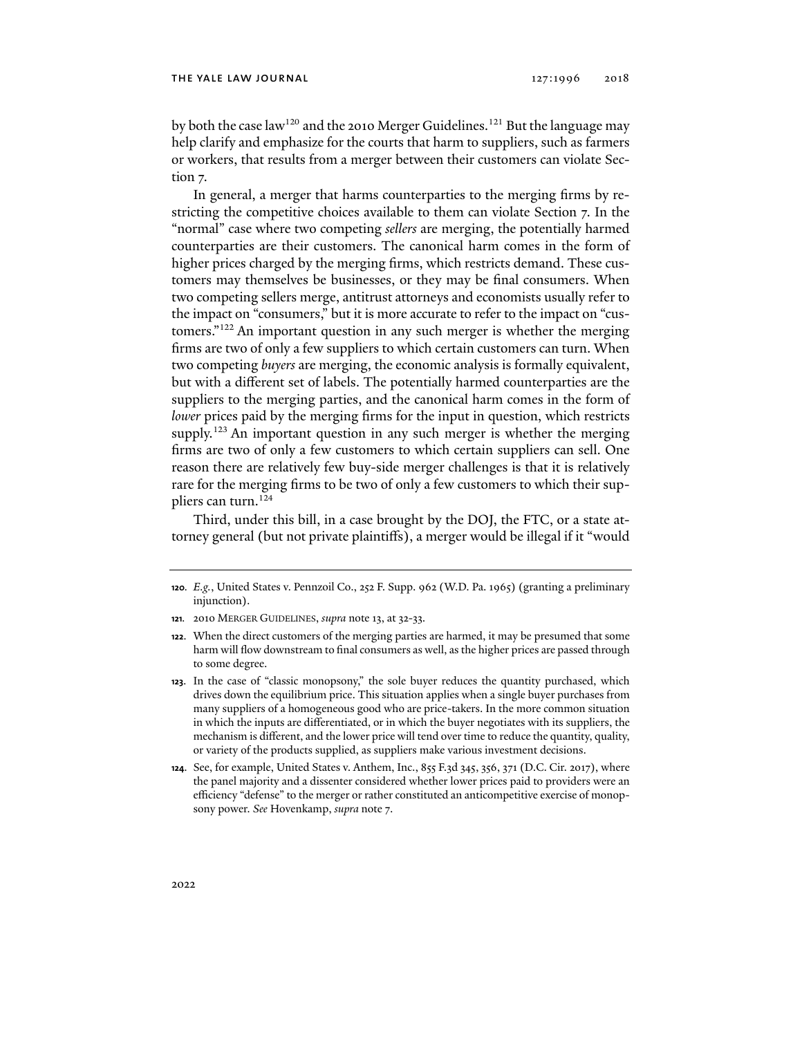by both the case law<sup>120</sup> and the 2010 Merger Guidelines.<sup>121</sup> But the language may help clarify and emphasize for the courts that harm to suppliers, such as farmers or workers, that results from a merger between their customers can violate Section 7.

In general, a merger that harms counterparties to the merging firms by restricting the competitive choices available to them can violate Section 7. In the "normal" case where two competing *sellers* are merging, the potentially harmed counterparties are their customers. The canonical harm comes in the form of higher prices charged by the merging firms, which restricts demand. These customers may themselves be businesses, or they may be final consumers. When two competing sellers merge, antitrust attorneys and economists usually refer to the impact on "consumers," but it is more accurate to refer to the impact on "customers."122 An important question in any such merger is whether the merging firms are two of only a few suppliers to which certain customers can turn. When two competing *buyers* are merging, the economic analysis is formally equivalent, but with a different set of labels. The potentially harmed counterparties are the suppliers to the merging parties, and the canonical harm comes in the form of *lower* prices paid by the merging firms for the input in question, which restricts supply.<sup>123</sup> An important question in any such merger is whether the merging firms are two of only a few customers to which certain suppliers can sell. One reason there are relatively few buy-side merger challenges is that it is relatively rare for the merging firms to be two of only a few customers to which their suppliers can turn.124

Third, under this bill, in a case brought by the DOJ, the FTC, or a state attorney general (but not private plaintiffs), a merger would be illegal if it "would

**<sup>120</sup>***. E.g.*, United States v. Pennzoil Co., 252 F. Supp. 962 (W.D. Pa. 1965) (granting a preliminary injunction).

**<sup>121</sup>***.* 2010 MERGER GUIDELINES, *supra* note 13, at 32-33.

**<sup>122</sup>**. When the direct customers of the merging parties are harmed, it may be presumed that some harm will flow downstream to final consumers as well, as the higher prices are passed through to some degree.

**<sup>123</sup>**. In the case of "classic monopsony," the sole buyer reduces the quantity purchased, which drives down the equilibrium price. This situation applies when a single buyer purchases from many suppliers of a homogeneous good who are price-takers. In the more common situation in which the inputs are differentiated, or in which the buyer negotiates with its suppliers, the mechanism is different, and the lower price will tend over time to reduce the quantity, quality, or variety of the products supplied, as suppliers make various investment decisions.

**<sup>124</sup>**. See, for example, United States v. Anthem, Inc., 855 F.3d 345, 356, 371 (D.C. Cir. 2017), where the panel majority and a dissenter considered whether lower prices paid to providers were an efficiency "defense" to the merger or rather constituted an anticompetitive exercise of monopsony power. *See* Hovenkamp, *supra* note 7.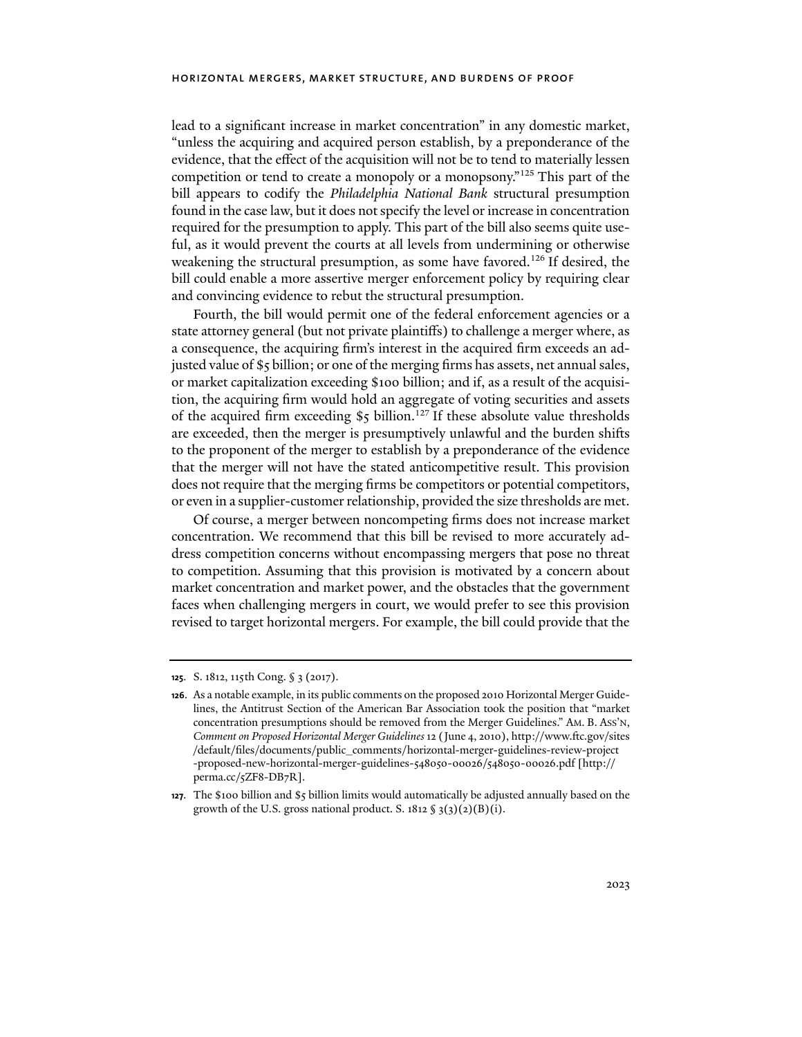lead to a significant increase in market concentration" in any domestic market, "unless the acquiring and acquired person establish, by a preponderance of the evidence, that the effect of the acquisition will not be to tend to materially lessen competition or tend to create a monopoly or a monopsony."125 This part of the bill appears to codify the *Philadelphia National Bank* structural presumption found in the case law, but it does not specify the level or increase in concentration required for the presumption to apply. This part of the bill also seems quite useful, as it would prevent the courts at all levels from undermining or otherwise weakening the structural presumption, as some have favored.<sup>126</sup> If desired, the bill could enable a more assertive merger enforcement policy by requiring clear and convincing evidence to rebut the structural presumption.

Fourth, the bill would permit one of the federal enforcement agencies or a state attorney general (but not private plaintiffs) to challenge a merger where, as a consequence, the acquiring firm's interest in the acquired firm exceeds an adjusted value of \$5 billion; or one of the merging firms has assets, net annual sales, or market capitalization exceeding \$100 billion; and if, as a result of the acquisition, the acquiring firm would hold an aggregate of voting securities and assets of the acquired firm exceeding  $\$ 5 billion.<sup>127</sup> If these absolute value thresholds are exceeded, then the merger is presumptively unlawful and the burden shifts to the proponent of the merger to establish by a preponderance of the evidence that the merger will not have the stated anticompetitive result. This provision does not require that the merging firms be competitors or potential competitors, or even in a supplier-customer relationship, provided the size thresholds are met.

Of course, a merger between noncompeting firms does not increase market concentration. We recommend that this bill be revised to more accurately address competition concerns without encompassing mergers that pose no threat to competition. Assuming that this provision is motivated by a concern about market concentration and market power, and the obstacles that the government faces when challenging mergers in court, we would prefer to see this provision revised to target horizontal mergers. For example, the bill could provide that the

**<sup>125</sup>**. S. 1812, 115th Cong. § 3 (2017).

**<sup>126</sup>**. As a notable example, in its public comments on the proposed 2010 Horizontal Merger Guidelines, the Antitrust Section of the American Bar Association took the position that "market concentration presumptions should be removed from the Merger Guidelines." AM. B. ASS'N, *Comment on Proposed Horizontal Merger Guidelines* 12 (June 4, 2010), http://www.ftc.gov/sites /default/files/documents/public\_comments/horizontal-merger-guidelines-review-project -proposed-new-horizontal-merger-guidelines-548050-00026/548050-00026.pdf [http:// perma.cc/5ZF8-DB7R].

**<sup>127</sup>**. The \$100 billion and \$5 billion limits would automatically be adjusted annually based on the growth of the U.S. gross national product. S.  $1812 \text{ }\frac{\sqrt{3}}{2}(3)(2)(B)(i)$ .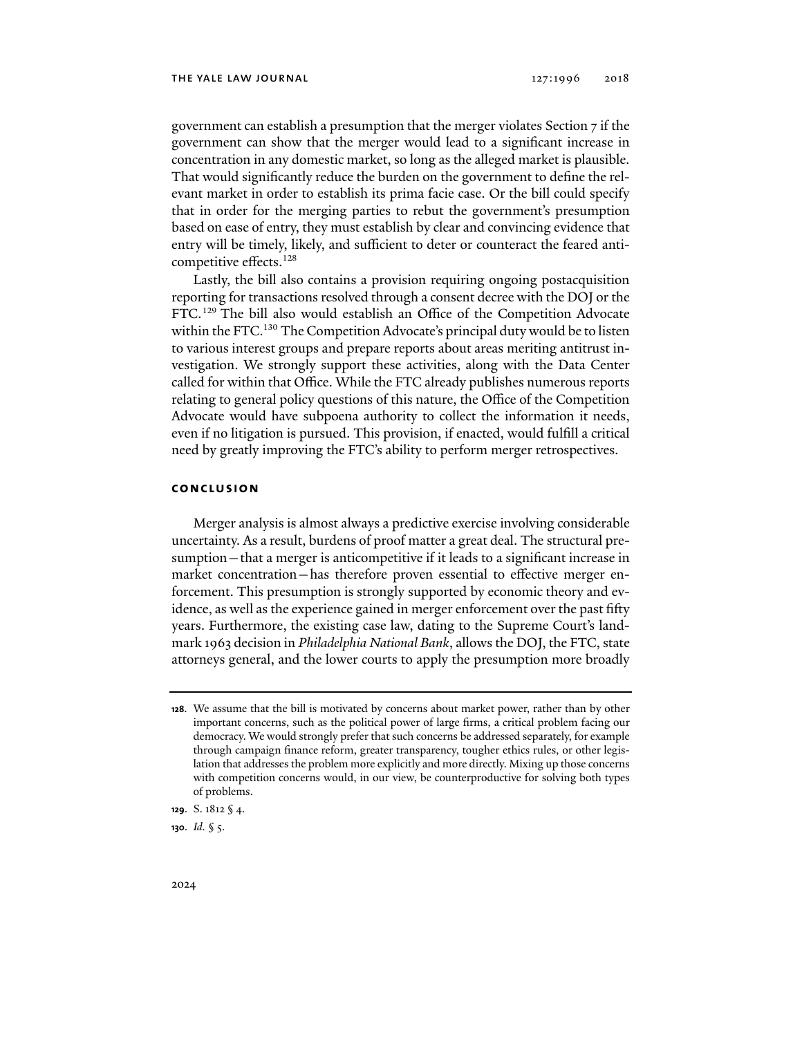government can establish a presumption that the merger violates Section 7 if the government can show that the merger would lead to a significant increase in concentration in any domestic market, so long as the alleged market is plausible. That would significantly reduce the burden on the government to define the relevant market in order to establish its prima facie case. Or the bill could specify that in order for the merging parties to rebut the government's presumption based on ease of entry, they must establish by clear and convincing evidence that entry will be timely, likely, and sufficient to deter or counteract the feared anticompetitive effects.128

Lastly, the bill also contains a provision requiring ongoing postacquisition reporting for transactions resolved through a consent decree with the DOJ or the FTC.129 The bill also would establish an Office of the Competition Advocate within the FTC.<sup>130</sup> The Competition Advocate's principal duty would be to listen to various interest groups and prepare reports about areas meriting antitrust investigation. We strongly support these activities, along with the Data Center called for within that Office. While the FTC already publishes numerous reports relating to general policy questions of this nature, the Office of the Competition Advocate would have subpoena authority to collect the information it needs, even if no litigation is pursued. This provision, if enacted, would fulfill a critical need by greatly improving the FTC's ability to perform merger retrospectives.

### **conclusion**

Merger analysis is almost always a predictive exercise involving considerable uncertainty. As a result, burdens of proof matter a great deal. The structural presumption—that a merger is anticompetitive if it leads to a significant increase in market concentration—has therefore proven essential to effective merger enforcement. This presumption is strongly supported by economic theory and evidence, as well as the experience gained in merger enforcement over the past fifty years. Furthermore, the existing case law, dating to the Supreme Court's landmark 1963 decision in *Philadelphia National Bank*, allows the DOJ, the FTC, state attorneys general, and the lower courts to apply the presumption more broadly

**130**. *Id.* § 5.

**<sup>128</sup>**. We assume that the bill is motivated by concerns about market power, rather than by other important concerns, such as the political power of large firms, a critical problem facing our democracy. We would strongly prefer that such concerns be addressed separately, for example through campaign finance reform, greater transparency, tougher ethics rules, or other legislation that addresses the problem more explicitly and more directly. Mixing up those concerns with competition concerns would, in our view, be counterproductive for solving both types of problems.

**<sup>129</sup>**. S. 1812 § 4.